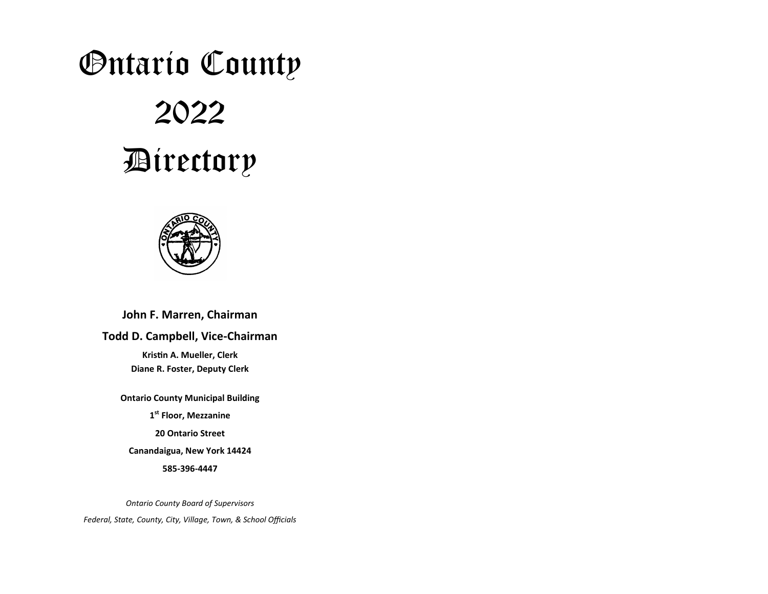# Ontario County

# 2022 Directory



# **John F. Marren, Chairman**

# **Todd D. Campbell, Vice-Chairman**

**Kristin A. Mueller, Clerk Diane R. Foster, Deputy Clerk**

**Ontario County Municipal Building 1st Floor, Mezzanine 20 Ontario Street Canandaigua, New York 14424 585-396-4447**

*Ontario County Board of Supervisors Federal, State, County, City, Village, Town, & School Officials*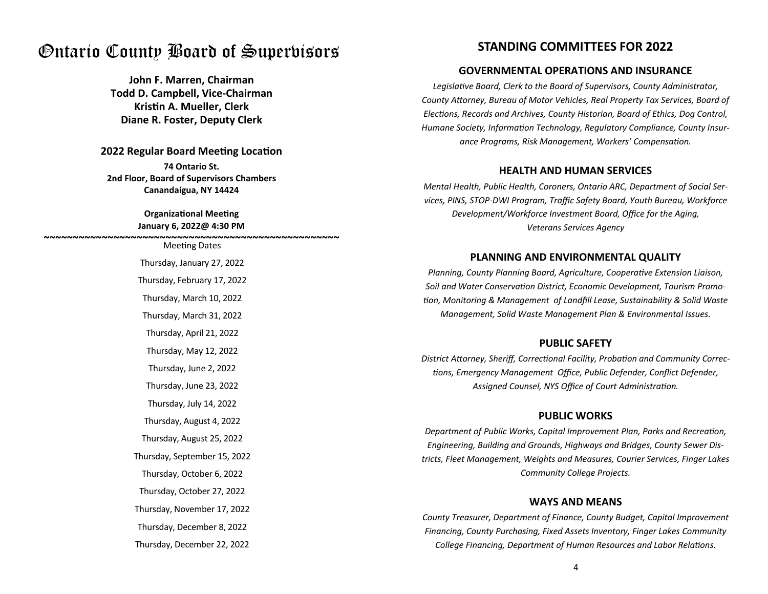# Ontario County Board of Supervisors

**John F. Marren, Chairman Todd D. Campbell, Vice-Chairman Krisn A. Mueller, Clerk Diane R. Foster, Deputy Clerk**

#### **2022 Regular Board Meeting Location**

**74 Ontario St. 2nd Floor, Board of Supervisors Chambers Canandaigua, NY 14424**

#### **Organizational Meeting January 6, 2022@ 4:30 PM**

Meeting Dates Thursday, January 27, 2022 Thursday, February 17, 2022 Thursday, March 10, 2022 Thursday, March 31, 2022 Thursday, April 21, 2022 Thursday, May 12, 2022 Thursday, June 2, 2022 Thursday, June 23, 2022 Thursday, July 14, 2022 Thursday, September 15, 2022 Thursday, August 4, 2022 Thursday, August 25, 2022 Thursday, October 6, 2022 Thursday, October 27, 2022 Thursday, November 17, 2022 Thursday, December 8, 2022 Thursday, December 22, 2022 **~~~~~~~~~~~~~~~~~~~~~~~~~~~~~~~~~~~~~~~~~~~~~~~~~~~**

# **STANDING COMMITTEES FOR 2022**

## **GOVERNMENTAL OPERATIONS AND INSURANCE**

Legislative Board, Clerk to the Board of Supervisors, County Administrator, County Attorney, Bureau of Motor Vehicles, Real Property Tax Services, Board of *Elections, Records and Archives, County Historian, Board of Ethics, Dog Control,* Humane Society, Information Technology, Regulatory Compliance, County Insurance Programs, Risk Management, Workers' Compensation.

#### **HEALTH AND HUMAN SERVICES**

*Mental Health, Public Health, Coroners, Ontario ARC, Department of Social Services, PINS, STOP-DWI Program, Traffic Safety Board, Youth Bureau, Workforce Development/Workforce Investment Board, Office for the Aging, Veterans Services Agency*

# **PLANNING AND ENVIRONMENTAL QUALITY**

*Planning, County Planning Board, Agriculture, Cooperative Extension Liaison,* **Soil and Water Conservation District, Economic Development, Tourism Promo***on, Monitoring & Management of Landfill Lease, Sustainability & Solid Waste Management, Solid Waste Management Plan & Environmental Issues.*

#### **PUBLIC SAFETY**

District Attorney, Sheriff, Correctional Facility, Probation and Community Correc*ons, Emergency Management Office, Public Defender, Conflict Defender,*  Assigned Counsel, NYS Office of Court Administration.

#### **PUBLIC WORKS**

**Department of Public Works, Capital Improvement Plan, Parks and Recreation,** *Engineering, Building and Grounds, Highways and Bridges, County Sewer Districts, Fleet Management, Weights and Measures, Courier Services, Finger Lakes Community College Projects.*

#### **WAYS AND MEANS**

*County Treasurer, Department of Finance, County Budget, Capital Improvement Financing, County Purchasing, Fixed Assets Inventory, Finger Lakes Community College Financing, Department of Human Resources and Labor Relations.*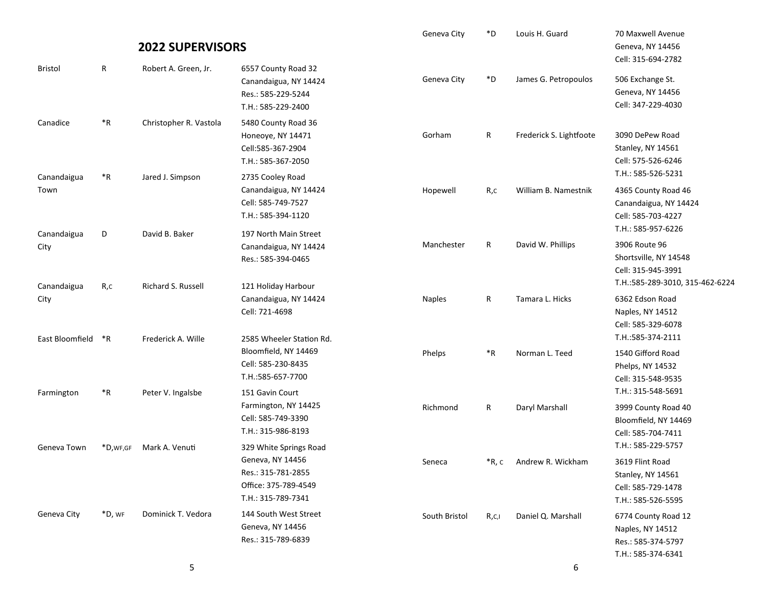|                                    |                    | <b>2022 SUPERVISORS</b>              |                                                                                                                | Geneva City   | $\ast$ D | Louis H. Guard          | 70 Maxwell Avenue<br>Geneva, NY 14456                                                                          |
|------------------------------------|--------------------|--------------------------------------|----------------------------------------------------------------------------------------------------------------|---------------|----------|-------------------------|----------------------------------------------------------------------------------------------------------------|
| <b>Bristol</b>                     | R                  | Robert A. Green, Jr.                 | 6557 County Road 32<br>Canandaigua, NY 14424<br>Res.: 585-229-5244<br>T.H.: 585-229-2400                       | Geneva City   | *D       | James G. Petropoulos    | Cell: 315-694-2782<br>506 Exchange St.<br>Geneva, NY 14456<br>Cell: 347-229-4030                               |
| Canadice                           | $*R$               | Christopher R. Vastola               | 5480 County Road 36<br>Honeoye, NY 14471<br>Cell:585-367-2904<br>T.H.: 585-367-2050                            | Gorham        | R        | Frederick S. Lightfoote | 3090 DePew Road<br>Stanley, NY 14561<br>Cell: 575-526-6246                                                     |
| Canandaigua<br>Town                | $\,{}^*\mathsf{R}$ | Jared J. Simpson                     | 2735 Cooley Road<br>Canandaigua, NY 14424<br>Cell: 585-749-7527<br>T.H.: 585-394-1120                          | Hopewell      | R,c      | William B. Namestnik    | T.H.: 585-526-5231<br>4365 County Road 46<br>Canandaigua, NY 14424<br>Cell: 585-703-4227<br>T.H.: 585-957-6226 |
| Canandaigua<br>City<br>Canandaigua | D<br>R,c           | David B. Baker<br>Richard S. Russell | 197 North Main Street<br>Canandaigua, NY 14424<br>Res.: 585-394-0465<br>121 Holiday Harbour                    | Manchester    | R        | David W. Phillips       | 3906 Route 96<br>Shortsville, NY 14548<br>Cell: 315-945-3991<br>T.H.:585-289-3010, 315-462-6224                |
| City<br>East Bloomfield            | $*$ R              | Frederick A. Wille                   | Canandaigua, NY 14424<br>Cell: 721-4698<br>2585 Wheeler Station Rd.                                            | <b>Naples</b> | R        | Tamara L. Hicks         | 6362 Edson Road<br>Naples, NY 14512<br>Cell: 585-329-6078<br>T.H.:585-374-2111                                 |
|                                    |                    |                                      | Bloomfield, NY 14469<br>Cell: 585-230-8435<br>T.H.:585-657-7700                                                | Phelps        | $*R$     | Norman L. Teed          | 1540 Gifford Road<br>Phelps, NY 14532<br>Cell: 315-548-9535                                                    |
| Farmington                         | $\,{}^*\mathsf{R}$ | Peter V. Ingalsbe                    | 151 Gavin Court<br>Farmington, NY 14425<br>Cell: 585-749-3390<br>T.H.: 315-986-8193                            | Richmond      | R        | Daryl Marshall          | T.H.: 315-548-5691<br>3999 County Road 40<br>Bloomfield, NY 14469<br>Cell: 585-704-7411                        |
| Geneva Town                        | *D, WF, GF         | Mark A. Venuti                       | 329 White Springs Road<br>Geneva, NY 14456<br>Res.: 315-781-2855<br>Office: 375-789-4549<br>T.H.: 315-789-7341 | Seneca        | *R, c    | Andrew R. Wickham       | T.H.: 585-229-5757<br>3619 Flint Road<br>Stanley, NY 14561<br>Cell: 585-729-1478<br>T.H.: 585-526-5595         |
| Geneva City                        | *D, WF             | Dominick T. Vedora                   | 144 South West Street<br>Geneva, NY 14456<br>Res.: 315-789-6839                                                | South Bristol | R,c,i    | Daniel Q. Marshall      | 6774 County Road 12<br>Naples, NY 14512<br>Res.: 585-374-5797<br>T.H.: 585-374-6341                            |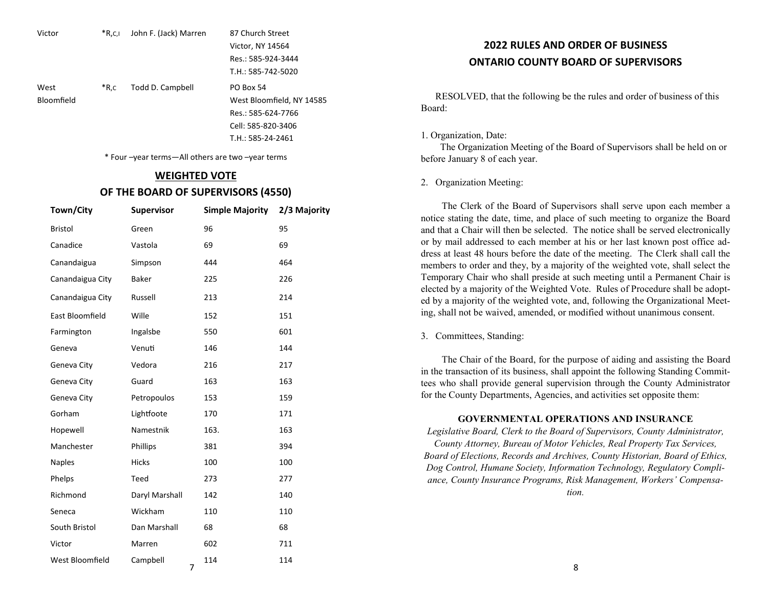| Victor     | $*R, C, I$ | John F. (Jack) Marren | 87 Church Street          |
|------------|------------|-----------------------|---------------------------|
|            |            |                       | Victor, NY 14564          |
|            |            |                       | Res.: 585-924-3444        |
|            |            |                       | T.H.: 585-742-5020        |
| West       | $*R.c$     | Todd D. Campbell      | <b>PO Box 54</b>          |
| Bloomfield |            |                       | West Bloomfield, NY 14585 |
|            |            |                       | Res.: 585-624-7766        |
|            |            |                       | Cell: 585-820-3406        |
|            |            |                       | $T.H.: 585-24-2461$       |

\* Four –year terms—All others are two –year terms

#### **WEIGHTED VOTE**

#### **OF THE BOARD OF SUPERVISORS (4550)**

| Town/City        | <b>Supervisor</b> | <b>Simple Majority</b> | 2/3 Majority |
|------------------|-------------------|------------------------|--------------|
| <b>Bristol</b>   | Green             | 96                     | 95           |
| Canadice         | Vastola           | 69                     | 69           |
| Canandaigua      | Simpson           | 444                    | 464          |
| Canandaigua City | <b>Baker</b>      | 225                    | 226          |
| Canandaigua City | Russell           | 213                    | 214          |
| East Bloomfield  | Wille             | 152                    | 151          |
| Farmington       | Ingalsbe          | 550                    | 601          |
| Geneva           | Venuti            | 146                    | 144          |
| Geneva City      | Vedora            | 216                    | 217          |
| Geneva City      | Guard             | 163                    | 163          |
| Geneva City      | Petropoulos       | 153                    | 159          |
| Gorham           | Lightfoote        | 170                    | 171          |
| Hopewell         | Namestnik         | 163.                   | 163          |
| Manchester       | Phillips          | 381                    | 394          |
| <b>Naples</b>    | Hicks             | 100                    | 100          |
| Phelps           | Teed              | 273                    | 277          |
| Richmond         | Daryl Marshall    | 142                    | 140          |
| Seneca           | Wickham           | 110                    | 110          |
| South Bristol    | Dan Marshall      | 68                     | 68           |
| Victor           | Marren            | 602                    | 711          |
| West Bloomfield  | Campbell<br>7     | 114                    | 114          |

# **2022 RULES AND ORDER OF BUSINESS ONTARIO COUNTY BOARD OF SUPERVISORS**

RESOLVED, that the following be the rules and order of business of this Board:

#### 1. Organization, Date:

 The Organization Meeting of the Board of Supervisors shall be held on or before January 8 of each year.

#### 2. Organization Meeting:

The Clerk of the Board of Supervisors shall serve upon each member a notice stating the date, time, and place of such meeting to organize the Board and that a Chair will then be selected. The notice shall be served electronically or by mail addressed to each member at his or her last known post office address at least 48 hours before the date of the meeting. The Clerk shall call the members to order and they, by a majority of the weighted vote, shall select the Temporary Chair who shall preside at such meeting until a Permanent Chair is elected by a majority of the Weighted Vote. Rules of Procedure shall be adopted by a majority of the weighted vote, and, following the Organizational Meeting, shall not be waived, amended, or modified without unanimous consent.

3. Committees, Standing:

The Chair of the Board, for the purpose of aiding and assisting the Board in the transaction of its business, shall appoint the following Standing Committees who shall provide general supervision through the County Administrator for the County Departments, Agencies, and activities set opposite them:

#### **GOVERNMENTAL OPERATIONS AND INSURANCE**

*Legislative Board, Clerk to the Board of Supervisors, County Administrator, County Attorney, Bureau of Motor Vehicles, Real Property Tax Services, Board of Elections, Records and Archives, County Historian, Board of Ethics, Dog Control, Humane Society, Information Technology, Regulatory Compliance, County Insurance Programs, Risk Management, Workers' Compensa-*

*tion.*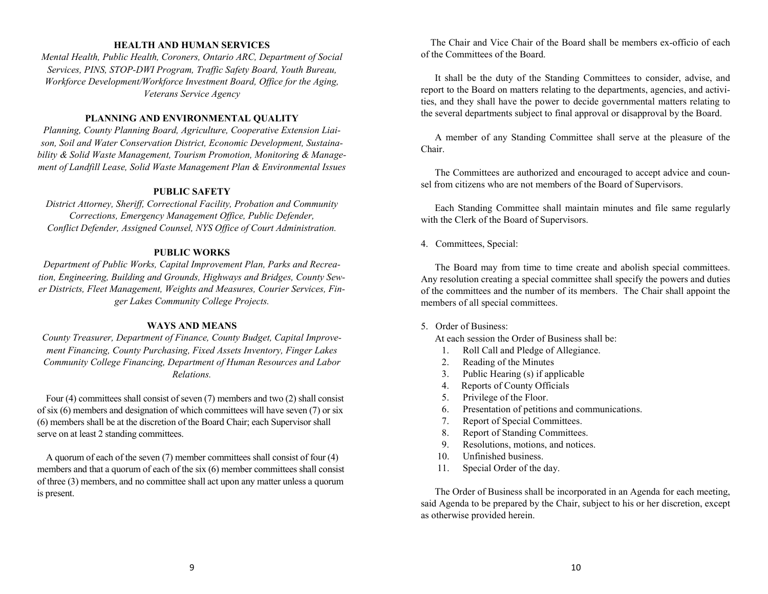#### **HEALTH AND HUMAN SERVICES**

*Mental Health, Public Health, Coroners, Ontario ARC, Department of Social Services, PINS, STOP-DWI Program, Traffic Safety Board, Youth Bureau, Workforce Development/Workforce Investment Board, Office for the Aging, Veterans Service Agency* 

#### **PLANNING AND ENVIRONMENTAL QUALITY**

*Planning, County Planning Board, Agriculture, Cooperative Extension Liaison, Soil and Water Conservation District, Economic Development, Sustainability & Solid Waste Management, Tourism Promotion, Monitoring & Management of Landfill Lease, Solid Waste Management Plan & Environmental Issues* 

### **PUBLIC SAFETY**

*District Attorney, Sheriff, Correctional Facility, Probation and Community Corrections, Emergency Management Office, Public Defender, Conflict Defender, Assigned Counsel, NYS Office of Court Administration.*

#### **PUBLIC WORKS**

*Department of Public Works, Capital Improvement Plan, Parks and Recreation, Engineering, Building and Grounds, Highways and Bridges, County Sewer Districts, Fleet Management, Weights and Measures, Courier Services, Finger Lakes Community College Projects.*

#### **WAYS AND MEANS**

*County Treasurer, Department of Finance, County Budget, Capital Improvement Financing, County Purchasing, Fixed Assets Inventory, Finger Lakes Community College Financing, Department of Human Resources and Labor Relations.*

Four (4) committees shall consist of seven (7) members and two (2) shall consist of six (6) members and designation of which committees will have seven (7) or six (6) members shall be at the discretion of the Board Chair; each Supervisor shall serve on at least 2 standing committees.

A quorum of each of the seven (7) member committees shall consist of four (4) members and that a quorum of each of the six (6) member committees shall consist of three (3) members, and no committee shall act upon any matter unless a quorum is present.

 The Chair and Vice Chair of the Board shall be members ex-officio of each of the Committees of the Board.

It shall be the duty of the Standing Committees to consider, advise, and report to the Board on matters relating to the departments, agencies, and activities, and they shall have the power to decide governmental matters relating to the several departments subject to final approval or disapproval by the Board.

A member of any Standing Committee shall serve at the pleasure of the Chair.

The Committees are authorized and encouraged to accept advice and counsel from citizens who are not members of the Board of Supervisors.

Each Standing Committee shall maintain minutes and file same regularly with the Clerk of the Board of Supervisors.

#### 4. Committees, Special:

The Board may from time to time create and abolish special committees. Any resolution creating a special committee shall specify the powers and duties of the committees and the number of its members. The Chair shall appoint the members of all special committees.

#### 5. Order of Business:

At each session the Order of Business shall be:

- 1. Roll Call and Pledge of Allegiance.
- 2. Reading of the Minutes
- 3. Public Hearing (s) if applicable
- 4. Reports of County Officials
- 5. Privilege of the Floor.
- 6. Presentation of petitions and communications.
- 7. Report of Special Committees.
- 8. Report of Standing Committees.
- 9. Resolutions, motions, and notices.
- 10. Unfinished business.
- 11. Special Order of the day.

The Order of Business shall be incorporated in an Agenda for each meeting, said Agenda to be prepared by the Chair, subject to his or her discretion, except as otherwise provided herein.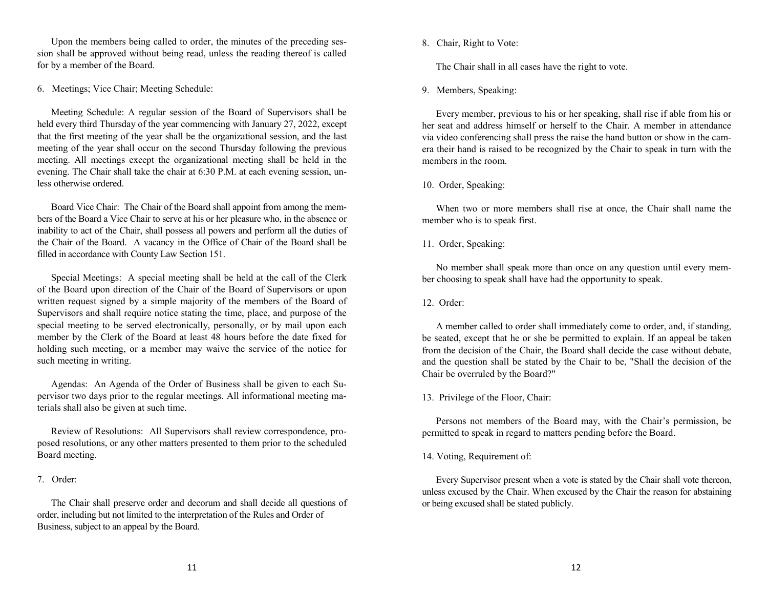Upon the members being called to order, the minutes of the preceding session shall be approved without being read, unless the reading thereof is called for by a member of the Board.

6. Meetings; Vice Chair; Meeting Schedule:

Meeting Schedule: A regular session of the Board of Supervisors shall be held every third Thursday of the year commencing with January 27, 2022, except that the first meeting of the year shall be the organizational session, and the last meeting of the year shall occur on the second Thursday following the previous meeting. All meetings except the organizational meeting shall be held in the evening. The Chair shall take the chair at 6:30 P.M. at each evening session, unless otherwise ordered.

Board Vice Chair: The Chair of the Board shall appoint from among the members of the Board a Vice Chair to serve at his or her pleasure who, in the absence or inability to act of the Chair, shall possess all powers and perform all the duties of the Chair of the Board. A vacancy in the Office of Chair of the Board shall be filled in accordance with County Law Section 151.

Special Meetings: A special meeting shall be held at the call of the Clerk of the Board upon direction of the Chair of the Board of Supervisors or upon written request signed by a simple majority of the members of the Board of Supervisors and shall require notice stating the time, place, and purpose of the special meeting to be served electronically, personally, or by mail upon each member by the Clerk of the Board at least 48 hours before the date fixed for holding such meeting, or a member may waive the service of the notice for such meeting in writing.

Agendas: An Agenda of the Order of Business shall be given to each Supervisor two days prior to the regular meetings. All informational meeting materials shall also be given at such time.

Review of Resolutions: All Supervisors shall review correspondence, proposed resolutions, or any other matters presented to them prior to the scheduled Board meeting.

7. Order:

The Chair shall preserve order and decorum and shall decide all questions of order, including but not limited to the interpretation of the Rules and Order of Business, subject to an appeal by the Board.

8. Chair, Right to Vote:

The Chair shall in all cases have the right to vote.

9. Members, Speaking:

Every member, previous to his or her speaking, shall rise if able from his or her seat and address himself or herself to the Chair. A member in attendance via video conferencing shall press the raise the hand button or show in the camera their hand is raised to be recognized by the Chair to speak in turn with the members in the room.

### 10. Order, Speaking:

When two or more members shall rise at once, the Chair shall name the member who is to speak first.

# 11. Order, Speaking:

No member shall speak more than once on any question until every member choosing to speak shall have had the opportunity to speak.

# 12. Order:

A member called to order shall immediately come to order, and, if standing, be seated, except that he or she be permitted to explain. If an appeal be taken from the decision of the Chair, the Board shall decide the case without debate, and the question shall be stated by the Chair to be, "Shall the decision of the Chair be overruled by the Board?"

13. Privilege of the Floor, Chair:

Persons not members of the Board may, with the Chair's permission, be permitted to speak in regard to matters pending before the Board.

### 14. Voting, Requirement of:

Every Supervisor present when a vote is stated by the Chair shall vote thereon, unless excused by the Chair. When excused by the Chair the reason for abstaining or being excused shall be stated publicly.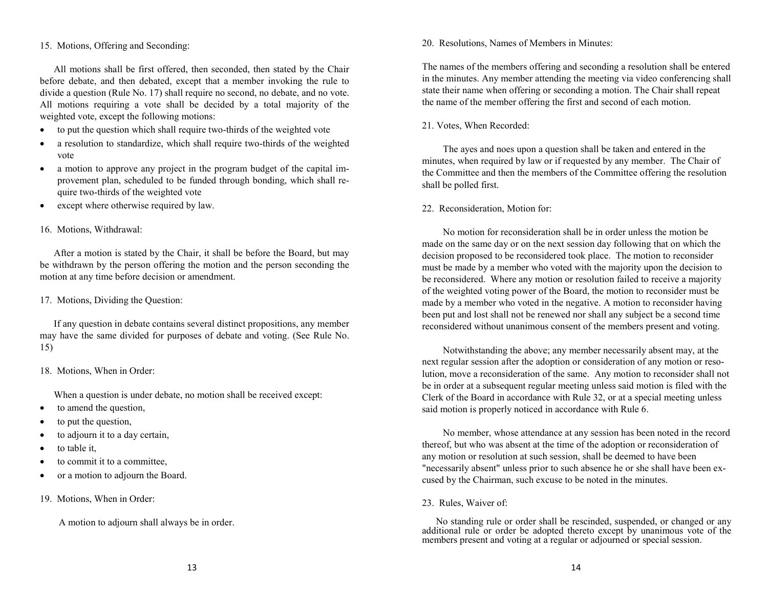#### 15. Motions, Offering and Seconding:

All motions shall be first offered, then seconded, then stated by the Chair before debate, and then debated, except that a member invoking the rule to divide a question (Rule No. 17) shall require no second, no debate, and no vote. All motions requiring a vote shall be decided by a total majority of the weighted vote, except the following motions:

- to put the question which shall require two-thirds of the weighted vote
- a resolution to standardize, which shall require two-thirds of the weighted vote
- a motion to approve any project in the program budget of the capital improvement plan, scheduled to be funded through bonding, which shall require two-thirds of the weighted vote
- except where otherwise required by law.

#### 16. Motions, Withdrawal:

After a motion is stated by the Chair, it shall be before the Board, but may be withdrawn by the person offering the motion and the person seconding the motion at any time before decision or amendment.

#### 17. Motions, Dividing the Question:

If any question in debate contains several distinct propositions, any member may have the same divided for purposes of debate and voting. (See Rule No. 15)

#### 18. Motions, When in Order:

When a question is under debate, no motion shall be received except:

- to amend the question,
- to put the question,
- to adjourn it to a day certain,
- to table it,
- to commit it to a committee,
- or a motion to adjourn the Board.
- 19. Motions, When in Order:

A motion to adjourn shall always be in order.

#### 20. Resolutions, Names of Members in Minutes:

The names of the members offering and seconding a resolution shall be entered in the minutes. Any member attending the meeting via video conferencing shall state their name when offering or seconding a motion. The Chair shall repeat the name of the member offering the first and second of each motion.

#### 21. Votes, When Recorded:

The ayes and noes upon a question shall be taken and entered in the minutes, when required by law or if requested by any member. The Chair of the Committee and then the members of the Committee offering the resolution shall be polled first.

#### 22. Reconsideration, Motion for:

No motion for reconsideration shall be in order unless the motion be made on the same day or on the next session day following that on which the decision proposed to be reconsidered took place. The motion to reconsider must be made by a member who voted with the majority upon the decision to be reconsidered. Where any motion or resolution failed to receive a majority of the weighted voting power of the Board, the motion to reconsider must be made by a member who voted in the negative. A motion to reconsider having been put and lost shall not be renewed nor shall any subject be a second time reconsidered without unanimous consent of the members present and voting.

Notwithstanding the above; any member necessarily absent may, at the next regular session after the adoption or consideration of any motion or resolution, move a reconsideration of the same. Any motion to reconsider shall not be in order at a subsequent regular meeting unless said motion is filed with the Clerk of the Board in accordance with Rule 32, or at a special meeting unless said motion is properly noticed in accordance with Rule 6.

No member, whose attendance at any session has been noted in the record thereof, but who was absent at the time of the adoption or reconsideration of any motion or resolution at such session, shall be deemed to have been "necessarily absent" unless prior to such absence he or she shall have been excused by the Chairman, such excuse to be noted in the minutes.

#### 23. Rules, Waiver of:

No standing rule or order shall be rescinded, suspended, or changed or any additional rule or order be adopted thereto except by unanimous vote of the members present and voting at a regular or adjourned or special session.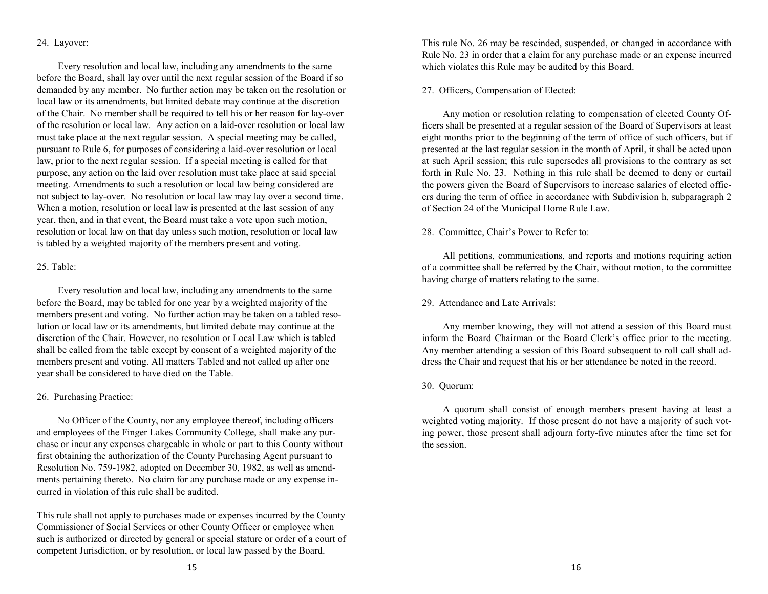#### 24. Layover:

Every resolution and local law, including any amendments to the same before the Board, shall lay over until the next regular session of the Board if so demanded by any member. No further action may be taken on the resolution or local law or its amendments, but limited debate may continue at the discretion of the Chair. No member shall be required to tell his or her reason for lay‑over of the resolution or local law. Any action on a laid‑over resolution or local law must take place at the next regular session. A special meeting may be called, pursuant to Rule 6, for purposes of considering a laid‑over resolution or local law, prior to the next regular session. If a special meeting is called for that purpose, any action on the laid over resolution must take place at said special meeting. Amendments to such a resolution or local law being considered are not subject to lay‑over. No resolution or local law may lay over a second time. When a motion, resolution or local law is presented at the last session of any year, then, and in that event, the Board must take a vote upon such motion, resolution or local law on that day unless such motion, resolution or local law is tabled by a weighted majority of the members present and voting.

#### 25. Table:

Every resolution and local law, including any amendments to the same before the Board, may be tabled for one year by a weighted majority of the members present and voting. No further action may be taken on a tabled resolution or local law or its amendments, but limited debate may continue at the discretion of the Chair. However, no resolution or Local Law which is tabled shall be called from the table except by consent of a weighted majority of the members present and voting. All matters Tabled and not called up after one year shall be considered to have died on the Table.

### 26. Purchasing Practice:

No Officer of the County, nor any employee thereof, including officers and employees of the Finger Lakes Community College, shall make any purchase or incur any expenses chargeable in whole or part to this County without first obtaining the authorization of the County Purchasing Agent pursuant to Resolution No. 759-1982, adopted on December 30, 1982, as well as amendments pertaining thereto. No claim for any purchase made or any expense incurred in violation of this rule shall be audited.

This rule shall not apply to purchases made or expenses incurred by the County Commissioner of Social Services or other County Officer or employee when such is authorized or directed by general or special stature or order of a court of competent Jurisdiction, or by resolution, or local law passed by the Board.

This rule No. 26 may be rescinded, suspended, or changed in accordance with Rule No. 23 in order that a claim for any purchase made or an expense incurred which violates this Rule may be audited by this Board.

### 27. Officers, Compensation of Elected:

Any motion or resolution relating to compensation of elected County Officers shall be presented at a regular session of the Board of Supervisors at least eight months prior to the beginning of the term of office of such officers, but if presented at the last regular session in the month of April, it shall be acted upon at such April session; this rule supersedes all provisions to the contrary as set forth in Rule No. 23. Nothing in this rule shall be deemed to deny or curtail the powers given the Board of Supervisors to increase salaries of elected officers during the term of office in accordance with Subdivision h, subparagraph 2 of Section 24 of the Municipal Home Rule Law.

### 28. Committee, Chair's Power to Refer to:

All petitions, communications, and reports and motions requiring action of a committee shall be referred by the Chair, without motion, to the committee having charge of matters relating to the same.

### 29. Attendance and Late Arrivals:

Any member knowing, they will not attend a session of this Board must inform the Board Chairman or the Board Clerk's office prior to the meeting. Any member attending a session of this Board subsequent to roll call shall address the Chair and request that his or her attendance be noted in the record.

#### 30. Quorum:

A quorum shall consist of enough members present having at least a weighted voting majority. If those present do not have a majority of such voting power, those present shall adjourn forty-five minutes after the time set for the session.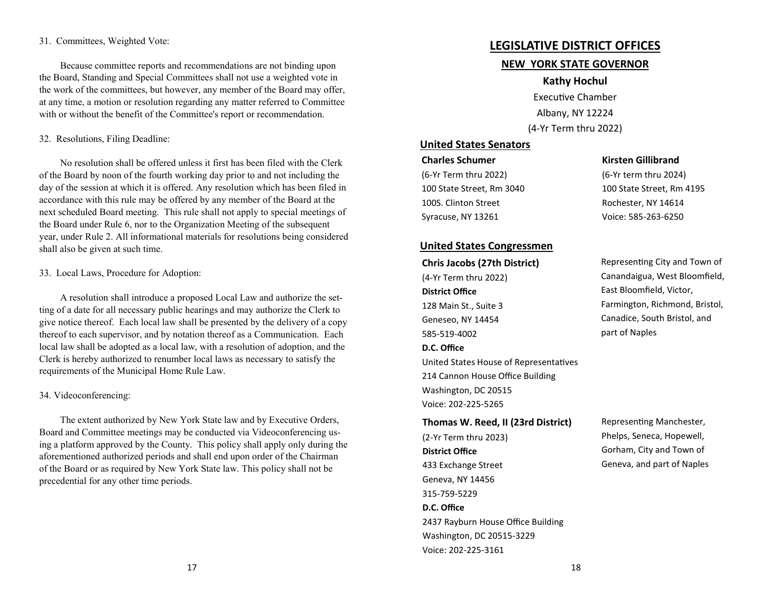#### 31. Committees, Weighted Vote:

Because committee reports and recommendations are not binding upon the Board, Standing and Special Committees shall not use a weighted vote in the work of the committees, but however, any member of the Board may offer, at any time, a motion or resolution regarding any matter referred to Committee with or without the benefit of the Committee's report or recommendation.

#### 32. Resolutions, Filing Deadline:

No resolution shall be offered unless it first has been filed with the Clerk of the Board by noon of the fourth working day prior to and not including the day of the session at which it is offered. Any resolution which has been filed in accordance with this rule may be offered by any member of the Board at the next scheduled Board meeting. This rule shall not apply to special meetings of the Board under Rule 6, nor to the Organization Meeting of the subsequent year, under Rule 2. All informational materials for resolutions being considered shall also be given at such time.

#### 33. Local Laws, Procedure for Adoption:

A resolution shall introduce a proposed Local Law and authorize the setting of a date for all necessary public hearings and may authorize the Clerk to give notice thereof. Each local law shall be presented by the delivery of a copy thereof to each supervisor, and by notation thereof as a Communication. Each local law shall be adopted as a local law, with a resolution of adoption, and the Clerk is hereby authorized to renumber local laws as necessary to satisfy the requirements of the Municipal Home Rule Law.

#### 34. Videoconferencing:

The extent authorized by New York State law and by Executive Orders, Board and Committee meetings may be conducted via Videoconferencing using a platform approved by the County. This policy shall apply only during the aforementioned authorized periods and shall end upon order of the Chairman of the Board or as required by New York State law. This policy shall not be precedential for any other time periods.

# **LEGISLATIVE DISTRICT OFFICES**

# **NEW YORK STATE GOVERNOR**

# **Kathy Hochul**

**Executive Chamber** Albany, NY 12224 (4-Yr Term thru 2022)

# **United States Senators**

**Charles Schumer** (6-Yr Term thru 2022) 100 State Street, Rm 3040 100S. Clinton Street Syracuse, NY 13261

#### **Kirsten Gillibrand**

(6-Yr term thru 2024) 100 State Street, Rm 4195 Rochester, NY 14614 Voice: 585-263-6250

#### **United States Congressmen**

**Chris Jacobs (27th District)** (4-Yr Term thru 2022) **District Office** 128 Main St., Suite 3 Geneseo, NY 14454 585-519-4002 **D.C. Office** United States House of Representatives 214 Cannon House Office Building Washington, DC 20515 Voice: 202-225-5265

#### **Thomas W. Reed, II (23rd District)**

(2-Yr Term thru 2023) **District Office** 433 Exchange Street Geneva, NY 14456 315-759-5229 **D.C. Office** 2437 Rayburn House Office Building Washington, DC 20515-3229 Voice: 202-225-3161

Representing City and Town of Canandaigua, West Bloomfield, East Bloomfield, Victor, Farmington, Richmond, Bristol, Canadice, South Bristol, and part of Naples

Representing Manchester, Phelps, Seneca, Hopewell, Gorham, City and Town of Geneva, and part of Naples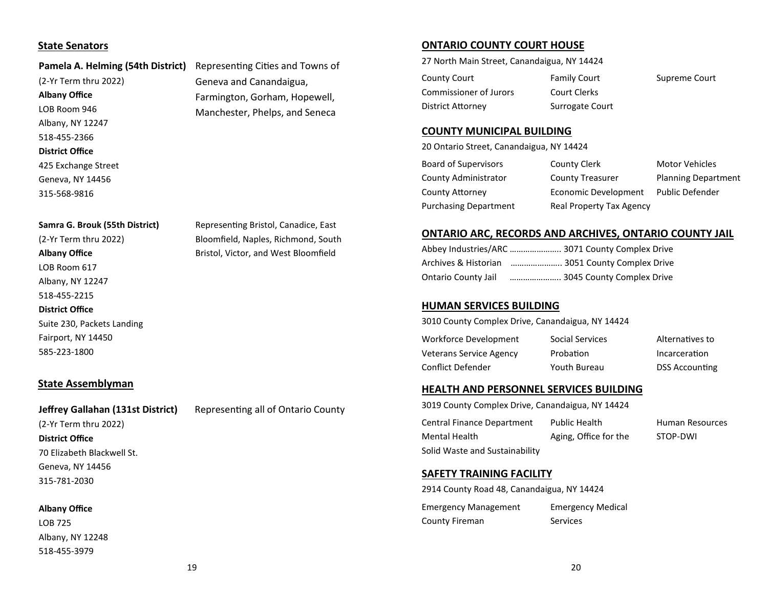# **State Senators**

#### Pamela A. Helming (54th District) Representing Cities and Towns of

(2-Yr Term thru 2022) **Albany Office** LOB Room 946 Albany, NY 12247 518-455-2366 **District Office** 425 Exchange Street Geneva, NY 14456 315-568-9816

#### **Samra G. Brouk (55th District)**

(2-Yr Term thru 2022) **Albany Office** LOB Room 617 Albany, NY 12247 518-455-2215 **District Office**  Suite 230, Packets Landing Fairport, NY 14450 585-223-1800

**State Assemblyman**

# **Jeffrey Gallahan (131st District)**

Representing all of Ontario County

(2-Yr Term thru 2022) **District Office**  70 Elizabeth Blackwell St. Geneva, NY 14456 315-781-2030

#### **Albany Office**

LOB 725 Albany, NY 12248 518-455-3979

Geneva and Canandaigua, Farmington, Gorham, Hopewell, Manchester, Phelps, and Seneca

Representing Bristol, Canadice, East Bloomfield, Naples, Richmond, South Bristol, Victor, and West Bloomfield

# **ONTARIO COUNTY COURT HOUSE**

27 North Main Street, Canandaigua, NY 14424

| County Court           | <b>Family Court</b> | Supreme Court |
|------------------------|---------------------|---------------|
| Commissioner of Jurors | Court Clerks        |               |
| District Attorney      | Surrogate Court     |               |

#### **COUNTY MUNICIPAL BUILDING**

20 Ontario Street, Canandaigua, NY 14424

| Board of Supervisors         | County Clerk             | <b>Motor Vehicles</b>      |
|------------------------------|--------------------------|----------------------------|
| County Administrator         | County Treasurer         | <b>Planning Department</b> |
| <b>County Attorney</b>       | Economic Development     | <b>Public Defender</b>     |
| <b>Purchasing Department</b> | Real Property Tax Agency |                            |

#### **ONTARIO ARC, RECORDS AND ARCHIVES, ONTARIO COUNTY JAIL**

|                            | Abbey Industries/ARC  3071 County Complex Drive |
|----------------------------|-------------------------------------------------|
| Archives & Historian       | 3051 County Complex Drive                       |
| <b>Ontario County Jail</b> | 3045 County Complex Drive                       |

#### **HUMAN SERVICES BUILDING**

3010 County Complex Drive, Canandaigua, NY 14424

| Workforce Development          | Social Services | Alternatives to       |
|--------------------------------|-----------------|-----------------------|
| <b>Veterans Service Agency</b> | Probation       | Incarceration         |
| Conflict Defender              | Youth Bureau    | <b>DSS Accounting</b> |

#### **HEALTH AND PERSONNEL SERVICES BUILDING**

3019 County Complex Drive, Canandaigua, NY 14424 Central Finance Department Mental Health Solid Waste and Sustainability Public Health Aging, Office for the Human Resources STOP-DWI

#### **SAFETY TRAINING FACILITY**

Emergency Management County Fireman Emergency Medical Services 2914 County Road 48, Canandaigua, NY 14424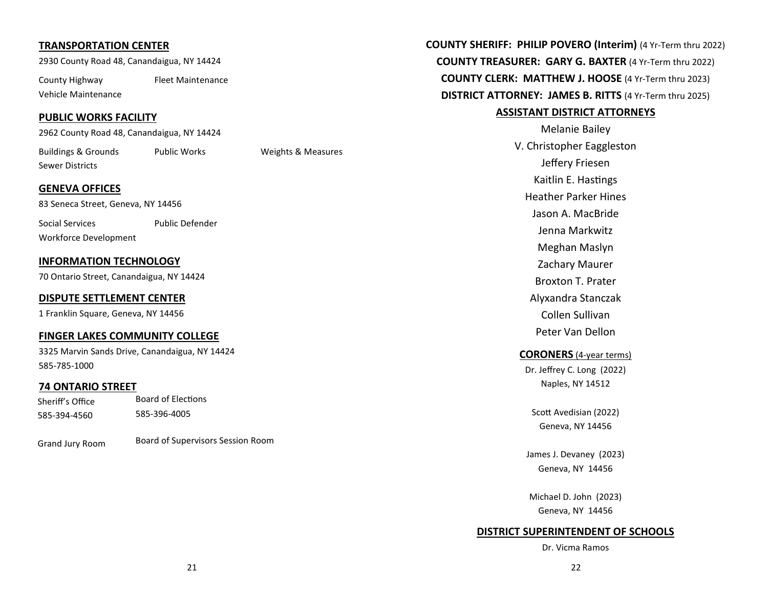# **TRANSPORTATION CENTER**

2930 County Road 48, Canandaigua, NY 14424

County Highway Vehicle Maintenance Fleet Maintenance

### **PUBLIC WORKS FACILITY**

2962 County Road 48, Canandaigua, NY 14424

Buildings & Grounds Sewer Districts

Public Works Weights & Measures

# **GENEVA OFFICES**

83 Seneca Street, Geneva, NY 14456

Social Services Workforce Development Public Defender

# **INFORMATION TECHNOLOGY**

70 Ontario Street, Canandaigua, NY 14424

# **DISPUTE SETTLEMENT CENTER**

1 Franklin Square, Geneva, NY 14456

# **FINGER LAKES COMMUNITY COLLEGE**

3325 Marvin Sands Drive, Canandaigua, NY 14424 585-785-1000

# **74 ONTARIO STREET**

Sheriff's Office 585-394-4560 Board of Elections 585-396-4005

| Grand Jury Room | Board of Supervisors Session Room |
|-----------------|-----------------------------------|
|-----------------|-----------------------------------|

**COUNTY SHERIFF: PHILIP POVERO (Interim)** (4 Yr-Term thru 2022) **COUNTY TREASURER: GARY G. BAXTER** (4 Yr-Term thru 2022) **COUNTY CLERK: MATTHEW J. HOOSE** (4 Yr-Term thru 2023) **DISTRICT ATTORNEY: JAMES B. RITTS** (4 Yr-Term thru 2025)

#### **ASSISTANT DISTRICT ATTORNEYS**

Melanie Bailey V. Christopher Eaggleston Jeffery Friesen Kaitlin E. Hastings Heather Parker Hines Jason A. MacBride Jenna Markwitz Meghan Maslyn Zachary Maurer Broxton T. Prater Alyxandra Stanczak Collen Sullivan Peter Van Dellon

# **CORONERS** (4-year terms)

Dr. Jeffrey C. Long (2022) Naples, NY 14512

Scott Avedisian (2022) Geneva, NY 14456

James J. Devaney (2023) Geneva, NY 14456

Michael D. John (2023) Geneva, NY 14456

# **DISTRICT SUPERINTENDENT OF SCHOOLS**

Dr. Vicma Ramos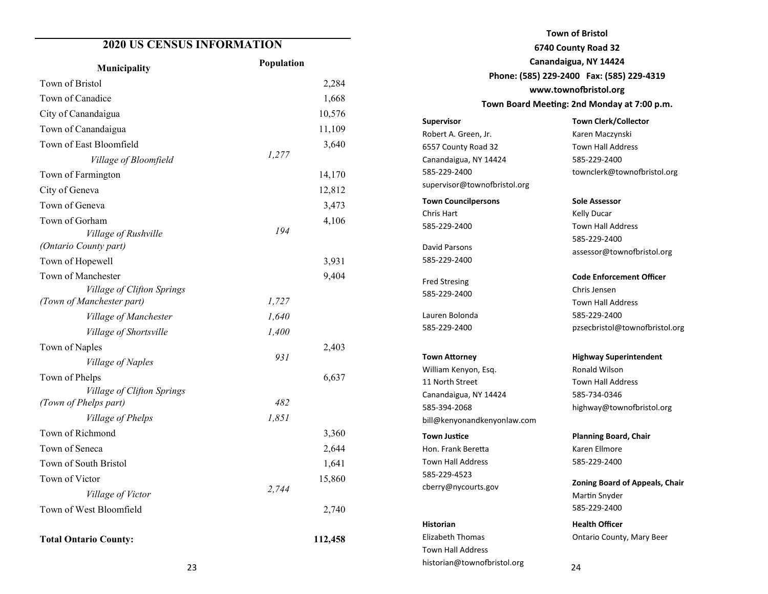# **2020 US CENSUS INFORMATION**

| Municipality                                  | Population |
|-----------------------------------------------|------------|
| Town of Bristol                               | 2,284      |
| Town of Canadice                              | 1,668      |
| City of Canandaigua                           | 10,576     |
| Town of Canandaigua                           | 11,109     |
| Town of East Bloomfield                       | 3,640      |
| Village of Bloomfield                         | 1,277      |
| Town of Farmington                            | 14,170     |
| City of Geneva                                | 12,812     |
| Town of Geneva                                | 3,473      |
| Town of Gorham                                | 4,106      |
| Village of Rushville<br>(Ontario County part) | 194        |
| Town of Hopewell                              | 3,931      |
| Town of Manchester                            | 9,404      |
| Village of Clifton Springs                    |            |
| (Town of Manchester part)                     | 1,727      |
| Village of Manchester                         | 1,640      |
| Village of Shortsville                        | 1,400      |
| Town of Naples                                | 2,403      |
| Village of Naples                             | 931        |
| Town of Phelps                                | 6,637      |
| Village of Clifton Springs                    |            |
| (Town of Phelps part)                         | 482        |
| Village of Phelps                             | 1,851      |
| Town of Richmond                              | 3,360      |
| Town of Seneca                                | 2,644      |
| Town of South Bristol                         | 1,641      |
| Town of Victor                                | 15,860     |
| Village of Victor                             | 2,744      |
| Town of West Bloomfield                       | 2,740      |
| <b>Total Ontario County:</b>                  | 112,458    |

**Town of Bristol 6740 County Road 32 Canandaigua, NY 14424 Phone: (585) 229-2400 Fax: (585) 229-4319** www.townofbristol.org Town Board Meeting: 2nd Monday at 7:00 p.m.

Robert A. Green, Jr. 6557 County Road 32 Canandaigua, NY 14424 585-229-2400 supervisor@townofbristol.org **Town Councilpersons** Chris Hart 585-229-2400 David Parsons 585-229-2400 Fred Stresing 585-229-2400 Lauren Bolonda 585-229-2400 **Town Attorney** William Kenyon, Esq.

**Supervisor**

11 North Street Canandaigua, NY 14424 585-394-2068 bill@kenyonandkenyonlaw.com **Town Justice** Hon. Frank Beretta Town Hall Address 585-229-4523 cberry@nycourts.gov

## **Historian**

Elizabeth Thomas Town Hall Address historian@townofbristol.org

**Town Clerk/Collector** Karen Maczynski Town Hall Address 585-229-2400

**Sole Assessor** Kelly Ducar Town Hall Address 585-229-2400 assessor@townofbristol.org

townclerk@townofbristol.org

**Code Enforcement Officer** Chris Jensen Town Hall Address 585-229-2400 pzsecbristol@townofbristol.org

**Highway Superintendent** Ronald Wilson Town Hall Address 585-734-0346 highway@townofbristol.org

**Planning Board, Chair** Karen Ellmore 585-229-2400

**Zoning Board of Appeals, Chair** Martin Snyder 585-229-2400

**Health Officer** Ontario County, Mary Beer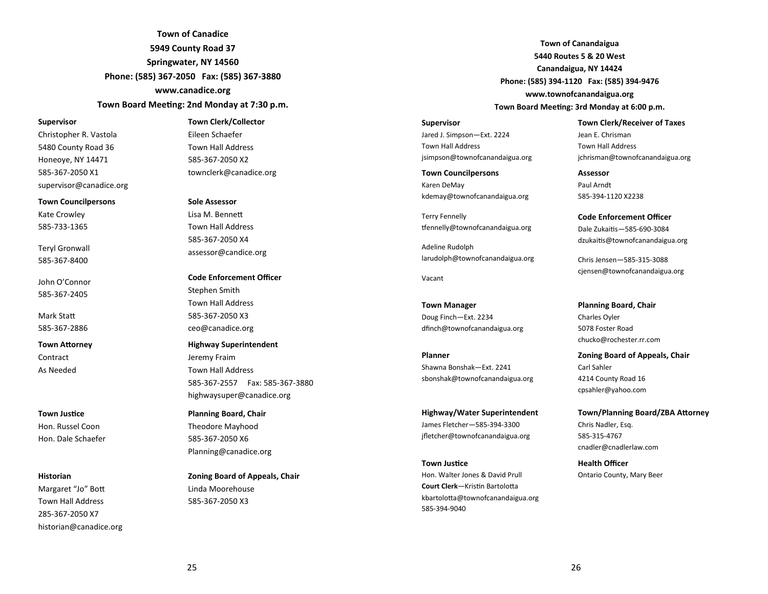**Town of Canadice 5949 County Road 37 Springwater, NY 14560 Phone: (585) 367-2050 Fax: (585) 367-3880 www.canadice.org**

Town Board Meeting: 2nd Monday at 7:30 p.m.

#### **Supervisor**

Christopher R. Vastola 5480 County Road 36 Honeoye, NY 14471 585-367-2050 X1 supervisor@canadice.org

**Town Councilpersons** Kate Crowley 585-733-1365

Teryl Gronwall 585-367-8400

John O'Connor 585-367-2405

Mark Sta 585-367-2886

**Town Attorney Contract** As Needed

#### **Town Justice**

Hon. Russel Coon Hon. Dale Schaefer

#### **Historian**

Margaret "Jo" Bo Town Hall Address 285-367-2050 X7 historian@canadice.org

#### **Town Clerk/Collector**

Eileen Schaefer Town Hall Address 585-367-2050 X2 townclerk@canadice.org

#### **Sole Assessor**

Lisa M. Benne Town Hall Address 585-367-2050 X4 assessor@candice.org

**Code Enforcement Officer** Stephen Smith Town Hall Address 585-367-2050 X3 ceo@canadice.org

**Highway Superintendent** Jeremy Fraim Town Hall Address 585-367-2557 Fax: 585-367-3880 highwaysuper@canadice.org

**Planning Board, Chair** Theodore Mayhood 585-367-2050 X6 Planning@canadice.org

**Zoning Board of Appeals, Chair** Linda Moorehouse 585-367-2050 X3

**Town of Canandaigua 5440 Routes 5 & 20 West Canandaigua, NY 14424 Phone: (585) 394-1120 Fax: (585) 394-9476 www.townofcanandaigua.org** Town Board Meeting: 3rd Monday at 6:00 p.m.

**Supervisor** Jared J. Simpson—Ext. 2224 Town Hall Address jsimpson@townofcanandaigua.org

**Town Councilpersons** Karen DeMay kdemay@townofcanandaigua.org

Terry Fennelly tfennelly@townofcanandaigua.org

Adeline Rudolph larudolph@townofcanandaigua.org

Vacant

**Town Manager** Doug Finch—Ext. 2234 dfinch@townofcanandaigua.org

**Planner** Shawna Bonshak—Ext. 2241 sbonshak@townofcanandaigua.org

**Highway/Water Superintendent** James Fletcher—585-394-3300 jfletcher@townofcanandaigua.org

**Town Justice** Hon. Walter Jones & David Prull **Court Clerk**—Kristin Bartolotta kbartolotta@townofcanandaigua.org 585-394-9040

**Town Clerk/Receiver of Taxes** Jean E. Chrisman Town Hall Address jchrisman@townofcanandaigua.org

**Assessor** Paul Arndt 585-394-1120 X2238

**Code Enforcement Officer** Dale Zukais—585-690-3084 dzukaitis@townofcanandaigua.org

Chris Jensen—585-315-3088 cjensen@townofcanandaigua.org

**Planning Board, Chair** Charles Oyler 5078 Foster Road chucko@rochester.rr.com

**Zoning Board of Appeals, Chair** Carl Sahler 4214 County Road 16 cpsahler@yahoo.com

**Town/Planning Board/ZBA Attorney** Chris Nadler, Esq. 585-315-4767 cnadler@cnadlerlaw.com

**Health Officer** Ontario County, Mary Beer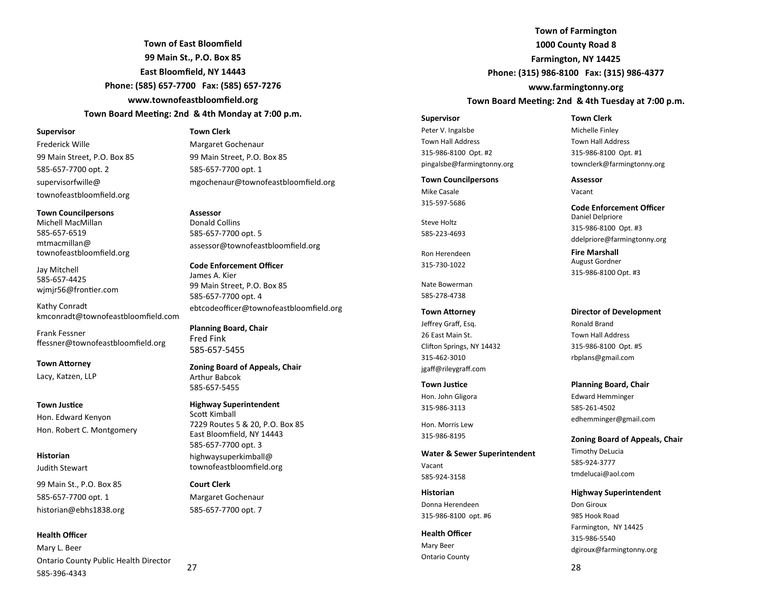**Town of East Bloomfield 99 Main St., P.O. Box 85 East Bloomfield, NY 14443 Phone: (585) 657-7700 Fax: (585) 657-7276 www.townofeastbloomfield.org** Town Board Meeting: 2nd & 4th Monday at 7:00 p.m.

#### **Supervisor**

Frederick Wille 99 Main Street, P.O. Box 85 585-657-7700 opt. 2 supervisorfwille@ townofeastbloomfield.org

**Town Councilpersons** Michell MacMillan 585-657-6519 mtmacmillan@ townofeastbloomfield.org

Jay Mitchell 585-657-4425 wjmjr56@frontier.com

Kathy Conradt kmconradt@townofeastbloomfield.com

Frank Fessner ffessner@townofeastbloomfield.org

**Town Attorney** Lacy, Katzen, LLP

#### **Town Justice**

Hon. Edward Kenyon Hon. Robert C. Montgomery

#### **Historian**

Judith Stewart

99 Main St., P.O. Box 85 585-657-7700 opt. 1 historian@ebhs1838.org

#### **Health Officer**

Mary L. Beer Ontario County Public Health Director 585-396-4343

**Town Clerk**

Margaret Gochenaur 99 Main Street, P.O. Box 85 585-657-7700 opt. 1 mgochenaur@townofeastbloomfield.org

**Assessor** Donald Collins 585-657-7700 opt. 5 assessor@townofeastbloomfield.org

**Code Enforcement Officer** James A. Kier 99 Main Street, P.O. Box 85 585-657-7700 opt. 4 ebtcodeofficer@townofeastbloomfield.org

**Planning Board, Chair** Fred Fink 585-657-5455

**Zoning Board of Appeals, Chair** Arthur Babcok 585-657-5455

#### **Highway Superintendent** Scott Kimball 7229 Routes 5 & 20, P.O. Box 85 East Bloomfield, NY 14443 585-657-7700 opt. 3 highwaysuperkimball@ townofeastbloomfield.org

**Court Clerk** Margaret Gochenaur 585-657-7700 opt. 7

27

**Town of Farmington 1000 County Road 8 Farmington, NY 14425 Phone: (315) 986-8100 Fax: (315) 986-4377**

**www.farmingtonny.org**

#### Town Board Meeting: 2nd & 4th Tuesday at 7:00 p.m.

Peter V. Ingalsbe Town Hall Address 315-986-8100 Opt. #2 pingalsbe@farmingtonny.org

**Town Councilpersons** Mike Casale 315-597-5686

Steve Holtz 585-223-4693

**Supervisor**

Ron Herendeen 315-730-1022

Nate Bowerman 585-278-4738

#### **Town Attorney** Jeffrey Graff, Esq.

26 East Main St. Clifton Springs, NY 14432 315-462-3010 jgaff@rileygraff.com

#### **Town Justice** Hon. John Gligora 315-986-3113

Hon. Morris Lew 315-986-8195

#### **Water & Sewer Superintendent** Vacant

585-924-3158

#### **Historian** Donna Herendeen 315-986-8100 opt. #6

**Health Officer** Mary Beer Ontario County

**Town Clerk** Michelle Finley Town Hall Address 315-986-8100 Opt. #1 townclerk@farmingtonny.org

#### **Assessor** Vacant

**Code Enforcement Officer** Daniel Delpriore 315-986-8100 Opt. #3 ddelpriore@farmingtonny.org

**Fire Marshall** August Gordner 315-986-8100 Opt. #3

**Director of Development** Ronald Brand Town Hall Address 315-986-8100 Opt. #5 rbplans@gmail.com

#### **Planning Board, Chair**

Edward Hemminger 585-261-4502 edhemminger@gmail.com

**Zoning Board of Appeals, Chair** Timothy DeLucia 585-924-3777 tmdelucai@aol.com

#### **Highway Superintendent**

Don Giroux 985 Hook Road Farmington, NY 14425 315-986-5540 dgiroux@farmingtonny.org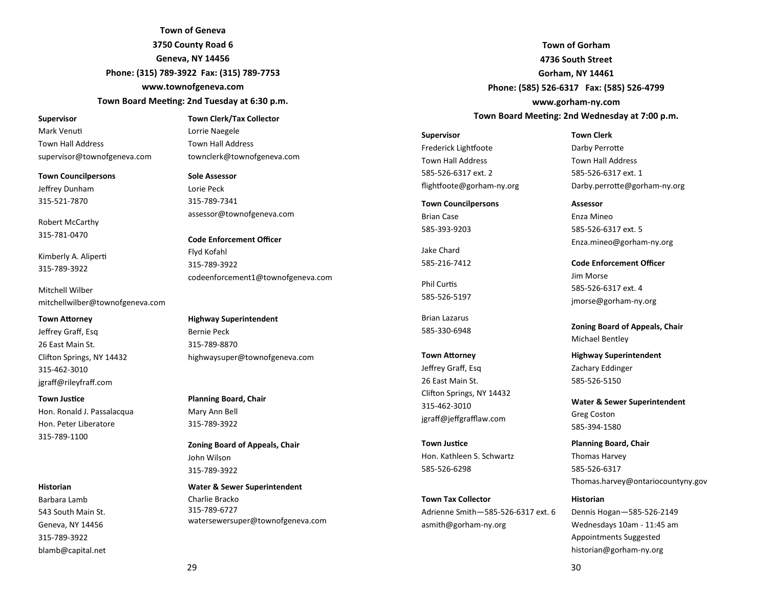**Town of Geneva 3750 County Road 6 Geneva, NY 14456 Phone: (315) 789-3922 Fax: (315) 789-7753**

**www.townofgeneva.com**

#### Town Board Meeting: 2nd Tuesday at 6:30 p.m.

#### **Supervisor**

Mark Venu Town Hall Address supervisor@townofgeneva.com

**Town Councilpersons** Jeffrey Dunham 315-521-7870

Robert McCarthy 315-781-0470

Kimberly A. Aliper 315-789-3922

Mitchell Wilber mitchellwilber@townofgeneva.com

#### **Town Attorney**

Jeffrey Graff, Esq 26 East Main St. Clifton Springs, NY 14432 315-462-3010 jgraff@rileyfraff.com

#### **Town Justice**

Hon. Ronald J. Passalacqua Hon. Peter Liberatore 315-789-1100

#### **Historian**

Barbara Lamb 543 South Main St. Geneva, NY 14456 315-789-3922 blamb@capital.net Town Hall Address townclerk@townofgeneva.com **Sole Assessor**

**Town Clerk/Tax Collector**

Lorrie Naegele

Lorie Peck 315-789-7341 assessor@townofgeneva.com

**Code Enforcement Officer** Flyd Kofahl 315-789-3922 codeenforcement1@townofgeneva.com

**Highway Superintendent** Bernie Peck 315-789-8870 highwaysuper@townofgeneva.com

**Planning Board, Chair** Mary Ann Bell 315-789-3922

**Zoning Board of Appeals, Chair** John Wilson 315-789-3922

**Water & Sewer Superintendent** Charlie Bracko 315-789-6727 watersewersuper@townofgeneva.com

**Town of Gorham 4736 South Street Gorham, NY 14461 Phone: (585) 526-6317 Fax: (585) 526-4799 www.gorham-ny.com** Town Board Meeting: 2nd Wednesday at 7:00 p.m.

**Supervisor** Frederick Lightfoote Town Hall Address 585-526-6317 ext. 2 flightfoote@gorham-ny.org

#### **Town Councilpersons**

Brian Case 585-393-9203

Jake Chard 585-216-7412

Phil Curtis 585-526-5197

Brian Lazarus 585-330-6948

**Town Attorney** Jeffrey Graff, Esq 26 East Main St. Clifton Springs, NY 14432 315-462-3010 jgraff@jeffgrafflaw.com

**Town Justice** Hon. Kathleen S. Schwartz 585-526-6298

**Town Tax Collector** Adrienne Smith—585-526-6317 ext. 6 asmith@gorham-ny.org

**Town Clerk** Darby Perrotte Town Hall Address 585-526-6317 ext. 1 Darby.perrotte@gorham-ny.org

**Assessor** Enza Mineo 585-526-6317 ext. 5 Enza.mineo@gorham-ny.org

**Code Enforcement Officer** Jim Morse 585-526-6317 ext. 4 jmorse@gorham-ny.org

**Zoning Board of Appeals, Chair** Michael Bentley

**Highway Superintendent** Zachary Eddinger 585-526-5150

**Water & Sewer Superintendent** Greg Coston 585-394-1580

**Planning Board, Chair** Thomas Harvey 585-526-6317 Thomas.harvey@ontariocountyny.gov

### **Historian**

Dennis Hogan—585-526-2149 Wednesdays 10am - 11:45 am Appointments Suggested historian@gorham-ny.org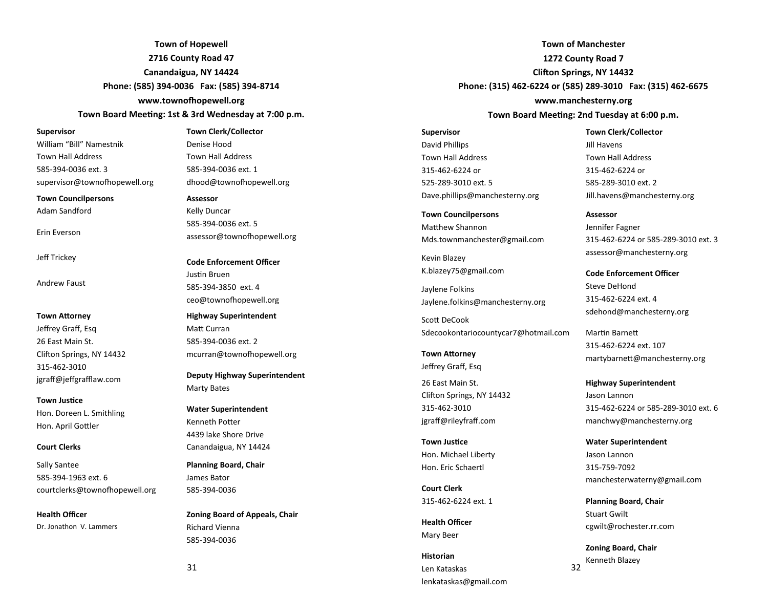**Town of Hopewell 2716 County Road 47 Canandaigua, NY 14424 Phone: (585) 394-0036 Fax: (585) 394-8714** www.townofhopewell.org

#### Town Board Meeting: 1st & 3rd Wednesday at 7:00 p.m.

#### **Supervisor**

William "Bill" Namestnik Town Hall Address 585-394-0036 ext. 3 supervisor@townofhopewell.org

**Town Councilpersons** Adam Sandford

Erin Everson

Jeff Trickey

Andrew Faust

#### **Town Attorney** Jeffrey Graff, Esq

26 East Main St. Clifton Springs, NY 14432 315-462-3010 jgraff@jeffgrafflaw.com

#### **Town Justice**

Hon. Doreen L. Smithling Hon. April Gottler

#### **Court Clerks**

Sally Santee 585-394-1963 ext. 6 courtclerks@townofhopewell.org

# **Health Officer**

Dr. Jonathon V. Lammers

# **Town Clerk/Collector**

Denise Hood Town Hall Address 585-394-0036 ext. 1 dhood@townofhopewell.org

#### **Assessor**

Kelly Duncar 585-394-0036 ext. 5 assessor@townofhopewell.org

**Code Enforcement Officer**

Justin Bruen 585-394-3850 ext. 4 ceo@townofhopewell.org

**Highway Superintendent** Matt Curran 585-394-0036 ext. 2 mcurran@townofhopewell.org

**Deputy Highway Superintendent** Marty Bates

**Water Superintendent** Kenneth Potter 4439 lake Shore Drive Canandaigua, NY 14424

**Planning Board, Chair** James Bator 585-394-0036

**Zoning Board of Appeals, Chair** Richard Vienna 585-394-0036

**Town of Manchester 1272 County Road 7 Clifton Springs, NY 14432 Phone: (315) 462-6224 or (585) 289-3010 Fax: (315) 462-6675 www.manchesterny.org**

Town Board Meeting: 2nd Tuesday at 6:00 p.m.

# **Supervisor** David Phillips Town Hall Address 315-462-6224 or 525-289-3010 ext. 5 Dave.phillips@manchesterny.org

**Town Councilpersons Matthew Shannon** Mds.townmanchester@gmail.com

Kevin Blazey K.blazey75@gmail.com

Jaylene Folkins Jaylene.folkins@manchesterny.org

Scott DeCook Sdecookontariocountycar7@hotmail.com

**Town Attorney** Jeffrey Graff, Esq

26 East Main St. Clifton Springs, NY 14432 315-462-3010 jgraff@rileyfraff.com

**Town Justice** Hon. Michael Liberty Hon. Eric Schaertl

**Court Clerk** 315-462-6224 ext. 1

**Health Officer** Mary Beer

**Historian** Len Kataskas lenkataskas@gmail.com

**Town Clerk/Collector** Jill Havens Town Hall Address 315-462-6224 or 585-289-3010 ext. 2 Jill.havens@manchesterny.org

#### **Assessor**

Jennifer Fagner 315-462-6224 or 585-289-3010 ext. 3 assessor@manchesterny.org

**Code Enforcement Officer** Steve DeHond 315-462-6224 ext. 4 sdehond@manchesterny.org

Martin Barnett 315-462-6224 ext. 107 martybarnett@manchesterny.org

**Highway Superintendent** Jason Lannon 315-462-6224 or 585-289-3010 ext. 6 manchwy@manchesterny.org

**Water Superintendent** Jason Lannon 315-759-7092 manchesterwaterny@gmail.com

**Planning Board, Chair** Stuart Gwilt cgwilt@rochester.rr.com

32 **Zoning Board, Chair** Kenneth Blazey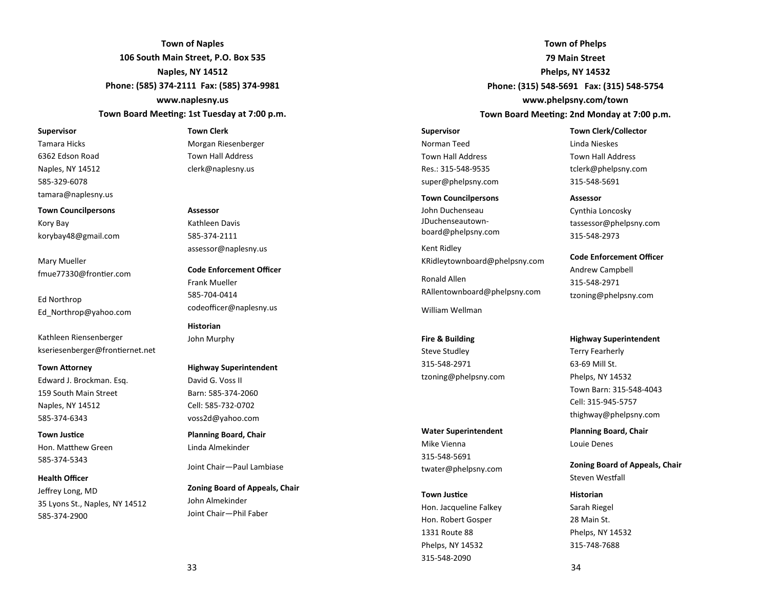**Town of Naples 106 South Main Street, P.O. Box 535 Naples, NY 14512 Phone: (585) 374-2111 Fax: (585) 374-9981 www.naplesny.us**

Town Board Meeting: 1st Tuesday at 7:00 p.m.

#### **Supervisor**

Tamara Hicks 6362 Edson Road Naples, NY 14512 585-329-6078 tamara@naplesny.us

**Town Councilpersons**

Kory Bay korybay48@gmail.com

Mary Mueller fmue77330@frontier.com

Ed Northrop Ed\_Northrop@yahoo.com

Kathleen Riensenberger kseriesenberger@frontiernet.net

#### **Town Attorney**

Edward J. Brockman. Esq. 159 South Main Street Naples, NY 14512 585-374-6343

**Town Justice** Hon. Matthew Green 585-374-5343

#### **Health Officer**

Jeffrey Long, MD 35 Lyons St., Naples, NY 14512 585-374-2900

#### **Town Clerk**

Morgan Riesenberger Town Hall Address clerk@naplesny.us

#### **Assessor**

Kathleen Davis 585-374-2111 assessor@naplesny.us

**Code Enforcement Officer** Frank Mueller 585-704-0414 codeofficer@naplesny.us

**Historian** John Murphy

#### **Highway Superintendent**

David G. Voss II Barn: 585-374-2060 Cell: 585-732-0702 voss2d@yahoo.com

**Planning Board, Chair** Linda Almekinder

Joint Chair—Paul Lambiase

**Zoning Board of Appeals, Chair** John Almekinder Joint Chair—Phil Faber

**Town of Phelps 79 Main Street Phelps, NY 14532 Phone: (315) 548-5691 Fax: (315) 548-5754 www.phelpsny.com/town** Town Board Meeting: 2nd Monday at 7:00 p.m.

**Supervisor**

Norman Teed Town Hall Address Res.: 315-548-9535 super@phelpsny.com

#### **Town Councilpersons**

John Duchenseau JDuchenseautownboard@phelpsny.com

Kent Ridley KRidleytownboard@phelpsny.com

Ronald Allen RAllentownboard@phelpsny.com

William Wellman

**Fire & Building**  Steve Studley 315-548-2971 tzoning@phelpsny.com

#### **Water Superintendent**

Mike Vienna 315-548-5691 twater@phelpsny.com

#### **Town Justice**

Hon. Jacqueline Falkey Hon. Robert Gosper 1331 Route 88 Phelps, NY 14532 315-548-2090

**Town Clerk/Collector** Linda Nieskes Town Hall Address tclerk@phelpsny.com 315-548-5691

#### **Assessor**

Cynthia Loncosky tassessor@phelpsny.com 315-548-2973

**Code Enforcement Officer** Andrew Campbell 315-548-2971 tzoning@phelpsny.com

#### **Highway Superintendent**

Terry Fearherly 63-69 Mill St. Phelps, NY 14532 Town Barn: 315-548-4043 Cell: 315-945-5757 thighway@phelpsny.com

**Planning Board, Chair** Louie Denes

**Zoning Board of Appeals, Chair** Steven Westfall

**Historian** Sarah Riegel 28 Main St. Phelps, NY 14532 315-748-7688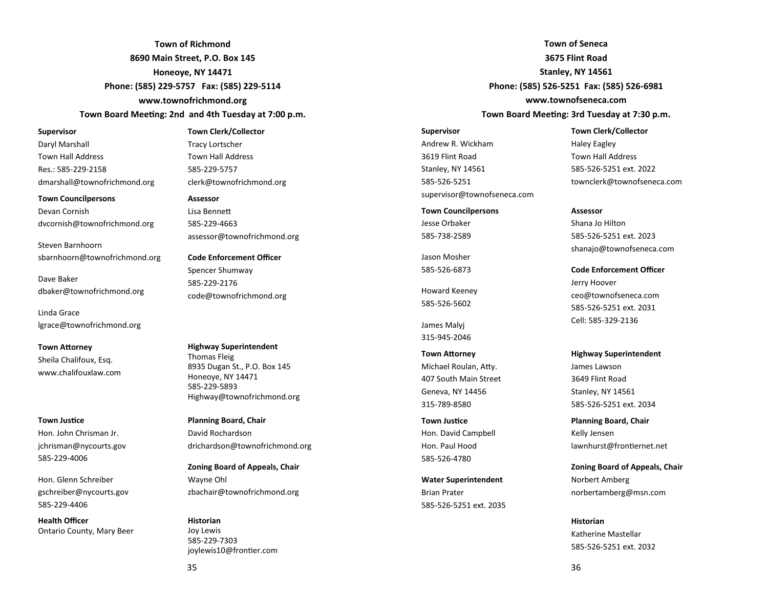**Town of Richmond 8690 Main Street, P.O. Box 145 Honeoye, NY 14471 Phone: (585) 229-5757 Fax: (585) 229-5114 www.townofrichmond.org**

#### Town Board Meeting: 2nd and 4th Tuesday at 7:00 p.m.

#### **Supervisor**

Daryl Marshall Town Hall Address Res.: 585-229-2158 dmarshall@townofrichmond.org

**Town Councilpersons** Devan Cornish dvcornish@townofrichmond.org

Steven Barnhoorn sbarnhoorn@townofrichmond.org

Dave Baker dbaker@townofrichmond.org

Linda Grace lgrace@townofrichmond.org

**Town Attorney** Sheila Chalifoux, Esq. www.chalifouxlaw.com

**Town Justice** Hon. John Chrisman Jr. jchrisman@nycourts.gov 585-229-4006

Hon. Glenn Schreiber gschreiber@nycourts.gov 585-229-4406

**Health Officer** Ontario County, Mary Beer

#### **Town Clerk/Collector**

Tracy Lortscher Town Hall Address 585-229-5757 clerk@townofrichmond.org

#### **Assessor**

Lisa Benne 585-229-4663 assessor@townofrichmond.org

**Code Enforcement Officer** Spencer Shumway 585-229-2176 code@townofrichmond.org

**Highway Superintendent** Thomas Fleig 8935 Dugan St., P.O. Box 145 Honeoye, NY 14471 585-229-5893 Highway@townofrichmond.org

**Planning Board, Chair** David Rochardson drichardson@townofrichmond.org

**Zoning Board of Appeals, Chair** Wayne Ohl zbachair@townofrichmond.org

**Historian** Joy Lewis 585-229-7303 joylewis10@frontier.com

**Town of Seneca 3675 Flint Road Stanley, NY 14561 Phone: (585) 526-5251 Fax: (585) 526-6981 www.townofseneca.com** Town Board Meeting: 3rd Tuesday at 7:30 p.m.

#### **Supervisor**

Andrew R. Wickham 3619 Flint Road Stanley, NY 14561 585-526-5251 supervisor@townofseneca.com

**Town Councilpersons** Jesse Orbaker 585-738-2589

Jason Mosher 585-526-6873

Howard Keeney 585-526-5602

James Malyj 315-945-2046

**Town Attorney** Michael Roulan, Atty. 407 South Main Street Geneva, NY 14456 315-789-8580

**Town Justice** Hon. David Campbell Hon. Paul Hood 585-526-4780

**Water Superintendent** Brian Prater 585-526-5251 ext. 2035 **Town Clerk/Collector**

Haley Eagley Town Hall Address 585-526-5251 ext. 2022 townclerk@townofseneca.com

#### **Assessor**

Shana Jo Hilton 585-526-5251 ext. 2023 shanajo@townofseneca.com

**Code Enforcement Officer** Jerry Hoover ceo@townofseneca.com 585-526-5251 ext. 2031 Cell: 585-329-2136

**Highway Superintendent** James Lawson 3649 Flint Road Stanley, NY 14561 585-526-5251 ext. 2034

**Planning Board, Chair** Kelly Jensen lawnhurst@frontiernet.net

**Zoning Board of Appeals, Chair** Norbert Amberg norbertamberg@msn.com

**Historian** Katherine Mastellar 585-526-5251 ext. 2032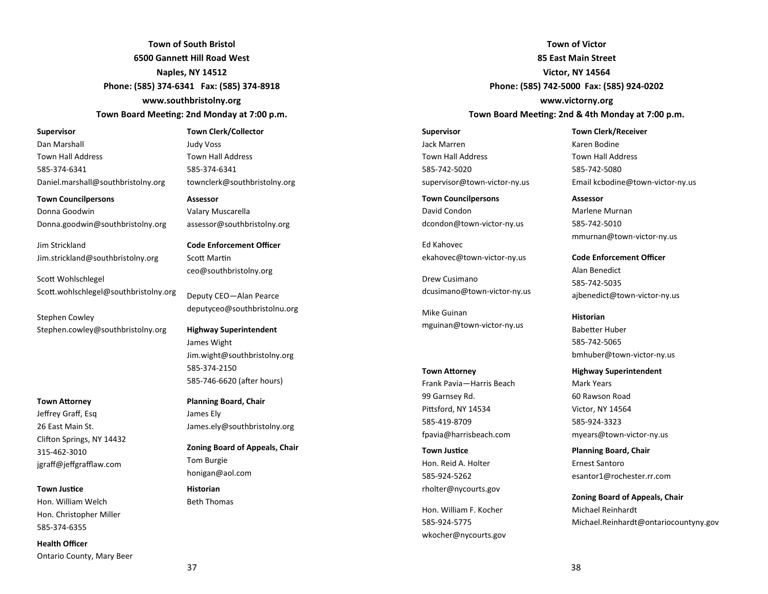**Town of South Bristol 6500 Gannett Hill Road West Naples, NY 14512 Phone: (585) 374-6341 Fax: (585) 374-8918 www.southbristolny.org** Town Board Meeting: 2nd Monday at 7:00 p.m.

#### **Supervisor**

Dan Marshall Town Hall Address 585-374-6341 Daniel.marshall@southbristolny.org

**Town Councilpersons**

Donna Goodwin Donna.goodwin@southbristolny.org

Jim Strickland Jim.strickland@southbristolny.org

Scott Wohlschlegel Scott.wohlschlegel@southbristolny.org

Stephen Cowley Stephen.cowley@southbristolny.org

#### **Town Attorney**

Jeffrey Graff, Esq 26 East Main St. Clifton Springs, NY 14432 315-462-3010 jgraff@jeffgrafflaw.com

#### **Town Justice**

Hon. William Welch Hon. Christopher Miller 585-374-6355

**Health Officer**

Ontario County, Mary Beer

#### **Town Clerk/Collector** Judy Voss

Town Hall Address 585-374-6341 townclerk@southbristolny.org

#### **Assessor**

Valary Muscarella assessor@southbristolny.org

**Code Enforcement Officer** Scott Martin ceo@southbristolny.org

Deputy CEO—Alan Pearce deputyceo@southbristolnu.org

**Highway Superintendent** James Wight Jim.wight@southbristolny.org 585-374-2150 585-746-6620 (after hours)

**Planning Board, Chair** James Ely James.ely@southbristolny.org

**Zoning Board of Appeals, Chair** Tom Burgie honigan@aol.com

**Historian** Beth Thomas

**Town of Victor 85 East Main Street Victor, NY 14564 Phone: (585) 742-5000 Fax: (585) 924-0202 www.victorny.org**

#### Town Board Meeting: 2nd & 4th Monday at 7:00 p.m.

**Supervisor** Jack Marren Town Hall Address 585-742-5020 supervisor@town-victor-ny.us

**Town Councilpersons** David Condon dcondon@town-victor-ny.us

Ed Kahovec ekahovec@town-victor-ny.us

Drew Cusimano dcusimano@town-victor-ny.us

Mike Guinan mguinan@town-victor-ny.us

# **Town Attorney** Frank Pavia—Harris Beach 99 Garnsey Rd. Pittsford, NY 14534 585-419-8709 fpavia@harrisbeach.com

**Town Justice** Hon. Reid A. Holter 585-924-5262 rholter@nycourts.gov

Hon. William F. Kocher 585-924-5775 wkocher@nycourts.gov **Town Clerk/Receiver** Karen Bodine Town Hall Address 585-742-5080 Email kcbodine@town-victor-ny.us

**Assessor** Marlene Murnan 585-742-5010 mmurnan@town-victor-ny.us

**Code Enforcement Officer** Alan Benedict 585-742-5035 ajbenedict@town-victor-ny.us

**Historian Babetter Huber** 585-742-5065 bmhuber@town-victor-ny.us

**Highway Superintendent** Mark Years 60 Rawson Road Victor, NY 14564 585-924-3323 myears@town-victor-ny.us

**Planning Board, Chair** Ernest Santoro esantor1@rochester.rr.com

**Zoning Board of Appeals, Chair** Michael Reinhardt Michael.Reinhardt@ontariocountyny.gov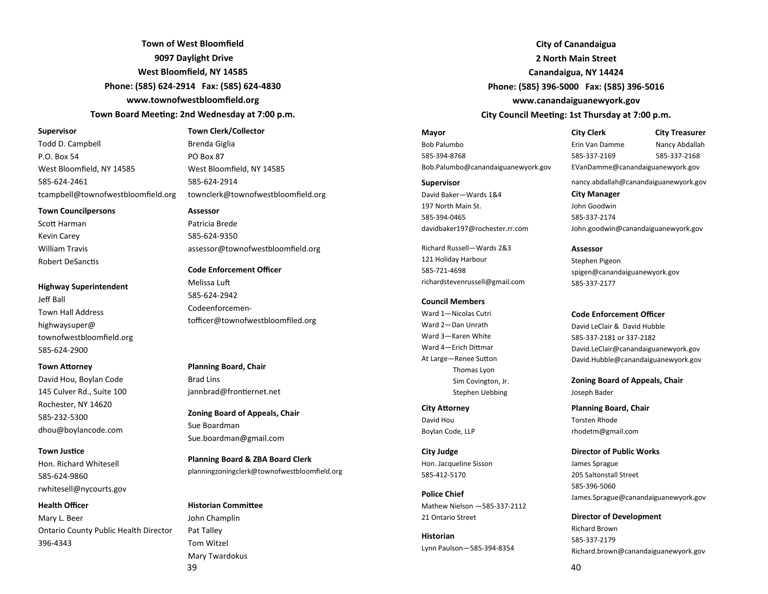**Town of West Bloomfield 9097 Daylight Drive West Bloomfield, NY 14585 Phone: (585) 624-2914 Fax: (585) 624-4830 www.townofwestbloomfield.org** Town Board Meeting: 2nd Wednesday at 7:00 p.m.

#### **Supervisor**

Todd D. Campbell P.O. Box 54 West Bloomfield, NY 14585 585-624-2461 tcampbell@townofwestbloomfield.org

**Town Councilpersons**

Scott Harman Kevin Carey William Travis Robert DeSanctis

#### **Highway Superintendent**

Jeff Ball Town Hall Address highwaysuper@ townofwestbloomfield.org 585-624-2900

#### **Town Attorney**

David Hou, Boylan Code 145 Culver Rd., Suite 100 Rochester, NY 14620 585-232-5300 dhou@boylancode.com

#### **Town Justice**

Hon. Richard Whitesell 585-624-9860 rwhitesell@nycourts.gov

#### **Health Officer**

Mary L. Beer Ontario County Public Health Director 396-4343

Brenda Giglia PO Box 87 West Bloomfield, NY 14585 585-624-2914 townclerk@townofwestbloomfield.org

**Town Clerk/Collector**

**Assessor** Patricia Brede 585-624-9350 assessor@townofwestbloomfield.org

**Code Enforcement Officer** Melissa Lu 585-624-2942 Codeenforcementofficer@townofwestbloomfiled.org

**Planning Board, Chair** Brad Lins jannbrad@frontiernet.net

**Zoning Board of Appeals, Chair** Sue Boardman Sue.boardman@gmail.com

**Planning Board & ZBA Board Clerk** planningzoningclerk@townofwestbloomfield.org

#### **Historian Committee**

39 John Champlin Pat Talley Tom Witzel Mary Twardokus

**City of Canandaigua 2 North Main Street Canandaigua, NY 14424 Phone: (585) 396-5000 Fax: (585) 396-5016 www.canandaiguanewyork.gov City Council Meeting: 1st Thursday at 7:00 p.m.** 

**Mayor** Bob Palumbo 585-394-8768 Bob.Palumbo@canandaiguanewyork.gov

**Supervisor**

David Baker—Wards 1&4 197 North Main St. 585-394-0465 davidbaker197@rochester.rr.com

Richard Russell—Wards 2&3 121 Holiday Harbour 585-721-4698 richardstevenrussell@gmail.com

#### **Council Members**

Ward 1—Nicolas Cutri Ward 2—Dan Unrath Ward 3—Karen White Ward 4-Erich Dittmar At Large-Renee Sutton Thomas Lyon Sim Covington, Jr. Stephen Uebbing

**City Attorney** David Hou Boylan Code, LLP

**City Judge** Hon. Jacqueline Sisson 585-412-5170

**Police Chief** Mathew Nielson —585-337-2112 21 Ontario Street

**Historian** Lynn Paulson—585-394-8354 **City Clerk City Treasurer**  Erin Van Damme Nancy Abdallah 585-337-2169 585-337-2168 EVanDamme@canandaiguanewyork.gov

nancy.abdallah@canandaiguanewyork.gov

**City Manager** John Goodwin 585-337-2174 John.goodwin@canandaiguanewyork.gov

**Assessor** Stephen Pigeon spigen@canandaiguanewyork.gov 585-337-2177

**Code Enforcement Officer**

David LeClair & David Hubble 585-337-2181 or 337-2182 David.LeClair@canandaiguanewyork.gov David.Hubble@canandaiguanewyork.gov

**Zoning Board of Appeals, Chair** Joseph Bader

**Planning Board, Chair** Torsten Rhode rhodetm@gmail.com

**Director of Public Works** James Sprague 205 Saltonstall Street 585-396-5060

James.Sprague@canandaiguanewyork.gov

**Director of Development** Richard Brown 585-337-2179 Richard.brown@canandaiguanewyork.gov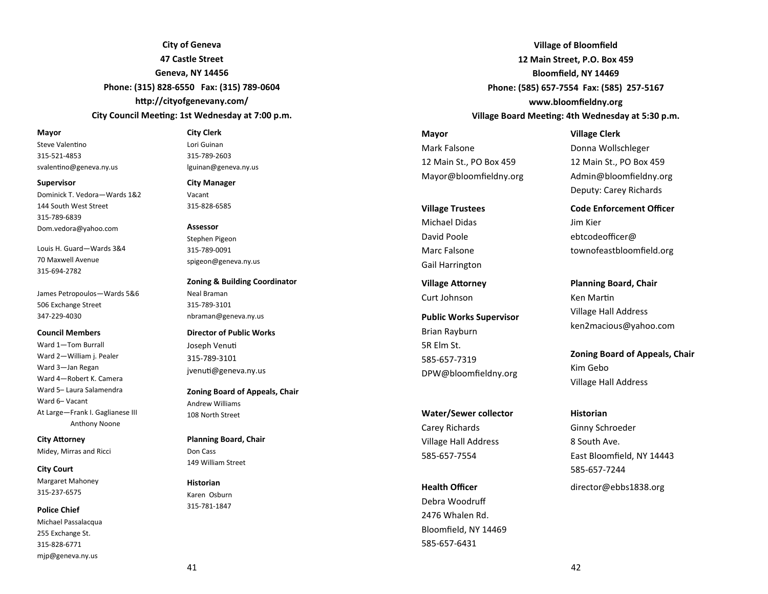**City of Geneva 47 Castle Street Geneva, NY 14456 Phone: (315) 828-6550 Fax: (315) 789-0604** http://cityofgenevany.com/

# **City Council Meeting: 1st Wednesday at 7:00 p.m.**

#### **Mayor**

Steve Valentino 315-521-4853 svalentino@geneva.ny.us

#### **Supervisor**

Dominick T. Vedora—Wards 1&2 144 South West Street 315-789-6839 Dom.vedora@yahoo.com

Louis H. Guard—Wards 3&4 70 Maxwell Avenue 315-694-2782

James Petropoulos—Wards 5&6 506 Exchange Street 347-229-4030

#### **Council Members**

Ward 1—Tom Burrall Ward 2—William j. Pealer Ward 3—Jan Regan Ward 4—Robert K. Camera Ward 5– Laura Salamendra Ward 6– Vacant At Large—Frank I. Gaglianese III Anthony Noone

**City Attorney** Midey, Mirras and Ricci

**City Court** Margaret Mahoney 315-237-6575

**Police Chief** Michael Passalacqua 255 Exchange St. 315-828-6771 mjp@geneva.ny.us

#### **City Clerk**

Lori Guinan 315-789-2603 lguinan@geneva.ny.us

**City Manager**

Vacant 315-828-6585

**Assessor** Stephen Pigeon 315-789-0091 spigeon@geneva.ny.us

**Zoning & Building Coordinator** Neal Braman 315-789-3101 nbraman@geneva.ny.us

**Director of Public Works** Joseph Venu 315-789-3101 jvenuti@geneva.ny.us

**Zoning Board of Appeals, Chair** Andrew Williams 108 North Street

**Planning Board, Chair** Don Cass 149 William Street

**Historian** Karen Osburn 315-781-1847

**Village of Bloomfield 12 Main Street, P.O. Box 459 Bloomfield, NY 14469 Phone: (585) 657-7554 Fax: (585) 257-5167 www.bloomfieldny.org Village Board Meeting: 4th Wednesday at 5:30 p.m.** 

**Mayor** Mark Falsone 12 Main St., PO Box 459 Mayor@bloomfieldny.org

**Village Trustees** Michael Didas

David Poole Marc Falsone Gail Harrington

**Village Attorney** Curt Johnson

**Public Works Supervisor** Brian Rayburn 5R Elm St. 585-657-7319 DPW@bloomfieldny.org

**Water/Sewer collector** Carey Richards Village Hall Address 585-657-7554

**Health Officer** Debra Woodruff 2476 Whalen Rd. Bloomfield, NY 14469 585-657-6431

**Village Clerk** Donna Wollschleger 12 Main St., PO Box 459 Admin@bloomfieldny.org Deputy: Carey Richards

**Code Enforcement Officer** Jim Kier ebtcodeofficer@ townofeastbloomfield.org

**Planning Board, Chair** Ken Martin Village Hall Address ken2macious@yahoo.com

**Zoning Board of Appeals, Chair** Kim Gebo Village Hall Address

**Historian** Ginny Schroeder 8 South Ave. East Bloomfield, NY 14443 585-657-7244 director@ebbs1838.org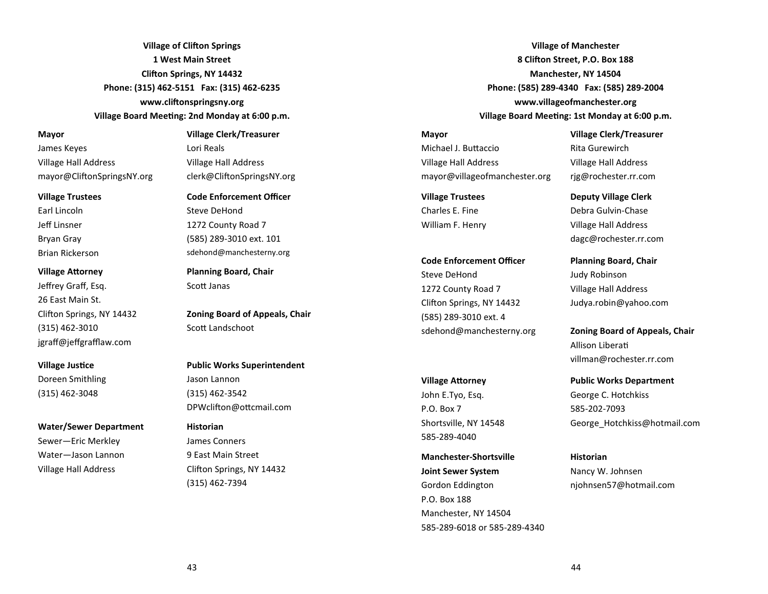**Village of Clifton Springs 1 West Main Street Clifton Springs, NY 14432 Phone: (315) 462-5151 Fax: (315) 462-6235** www.cliftonspringsny.org **Village Board Meeting: 2nd Monday at 6:00 p.m.** 

#### **Mayor**

James Keyes Village Hall Address mayor@CliftonSpringsNY.org

#### **Village Trustees**

Earl Lincoln Jeff Linsner Bryan Gray Brian Rickerson

#### **Village Attorney**

Jeffrey Graff, Esq. 26 East Main St. Clifton Springs, NY 14432 (315) 462-3010 jgraff@jeffgrafflaw.com

# **Village Justice**

Doreen Smithling (315) 462-3048

#### **Water/Sewer Department**

Sewer—Eric Merkley Water—Jason Lannon Village Hall Address

### **Village Clerk/Treasurer** Lori Reals

Village Hall Address clerk@CliftonSpringsNY.org

# **Code Enforcement Officer**

Steve DeHond 1272 County Road 7 (585) 289-3010 ext. 101 sdehond@manchesterny.org

**Planning Board, Chair** Scott Janas

**Zoning Board of Appeals, Chair** Scott Landschoot

# **Public Works Superintendent**

Jason Lannon (315) 462-3542 DPWclifton@ottcmail.com

#### **Historian**

James Conners 9 East Main Street Clifton Springs, NY 14432 (315) 462-7394

**Village of Manchester 8 Clifton Street, P.O. Box 188 Manchester, NY 14504 Phone: (585) 289-4340 Fax: (585) 289-2004 www.villageofmanchester.org Village Board Meeting: 1st Monday at 6:00 p.m.** 

# **Mayor**

Michael J. Buttaccio Village Hall Address mayor@villageofmanchester.org

**Village Trustees** Charles E. Fine William F. Henry

# **Code Enforcement Officer** Steve DeHond 1272 County Road 7 Clifton Springs, NY 14432 (585) 289-3010 ext. 4 sdehond@manchesterny.org

#### **Village Attorney**

John E.Tyo, Esq. P.O. Box 7 Shortsville, NY 14548 585-289-4040

**Manchester-Shortsville Joint Sewer System** Gordon Eddington P.O. Box 188 Manchester, NY 14504 585-289-6018 or 585-289-4340 **Village Clerk/Treasurer** Rita Gurewirch Village Hall Address rjg@rochester.rr.com

# **Deputy Village Clerk** Debra Gulvin-Chase Village Hall Address dagc@rochester.rr.com

**Planning Board, Chair** Judy Robinson Village Hall Address Judya.robin@yahoo.com

**Zoning Board of Appeals, Chair** Allison Libera villman@rochester.rr.com

# **Public Works Department**  George C. Hotchkiss 585-202-7093 George\_Hotchkiss@hotmail.com

**Historian** Nancy W. Johnsen njohnsen57@hotmail.com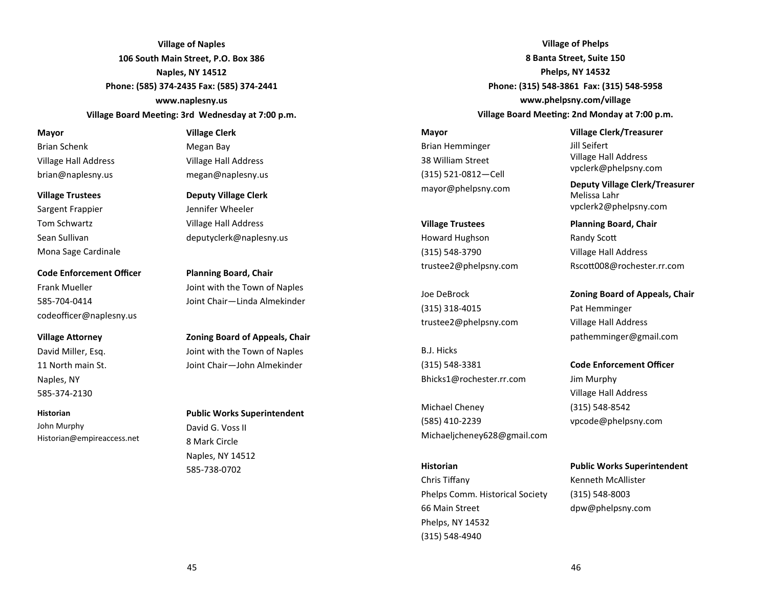**Village of Naples 106 South Main Street, P.O. Box 386 Naples, NY 14512 Phone: (585) 374-2435 Fax: (585) 374-2441 www.naplesny.us**

**Village Board Meeting: 3rd Wednesday at 7:00 p.m.** 

#### **Mayor**

Brian Schenk Village Hall Address brian@naplesny.us

#### **Village Trustees**

Sargent Frappier Tom Schwartz Sean Sullivan Mona Sage Cardinale

**Code Enforcement Officer** Frank Mueller 585-704-0414 codeofficer@naplesny.us

#### **Village Attorney**

David Miller, Esq. 11 North main St. Naples, NY 585-374-2130

#### **Historian**

John Murphy Historian@empireaccess.net

#### **Village Clerk**

Megan Bay Village Hall Address megan@naplesny.us

**Deputy Village Clerk** Jennifer Wheeler

Village Hall Address deputyclerk@naplesny.us

**Planning Board, Chair** Joint with the Town of Naples Joint Chair—Linda Almekinder

**Zoning Board of Appeals, Chair** Joint with the Town of Naples Joint Chair—John Almekinder

**Public Works Superintendent** David G. Voss II 8 Mark Circle Naples, NY 14512 585-738-0702

**Village of Phelps 8 Banta Street, Suite 150 Phelps, NY 14532 Phone: (315) 548-3861 Fax: (315) 548-5958 www.phelpsny.com/village Village Board Meeting: 2nd Monday at 7:00 p.m.** 

#### **Mayor**

Brian Hemminger 38 William Street (315) 521-0812—Cell mayor@phelpsny.com

**Village Trustees** Howard Hughson (315) 548-3790 trustee2@phelpsny.com

Joe DeBrock (315) 318-4015 trustee2@phelpsny.com

B.J. Hicks (315) 548-3381 Bhicks1@rochester.rr.com

Michael Cheney (585) 410-2239 Michaeljcheney628@gmail.com

#### **Historian**

Chris Tiffany Phelps Comm. Historical Society 66 Main Street Phelps, NY 14532 (315) 548-4940

**Village Clerk/Treasurer** Jill Seifert Village Hall Address vpclerk@phelpsny.com

**Deputy Village Clerk/Treasurer** Melissa Lahr vpclerk2@phelpsny.com

**Planning Board, Chair** Randy Sco Village Hall Address Rsco008@rochester.rr.com

**Zoning Board of Appeals, Chair** Pat Hemminger Village Hall Address pathemminger@gmail.com

**Code Enforcement Officer**

Jim Murphy Village Hall Address (315) 548-8542 vpcode@phelpsny.com

#### **Public Works Superintendent**

Kenneth McAllister (315) 548-8003 dpw@phelpsny.com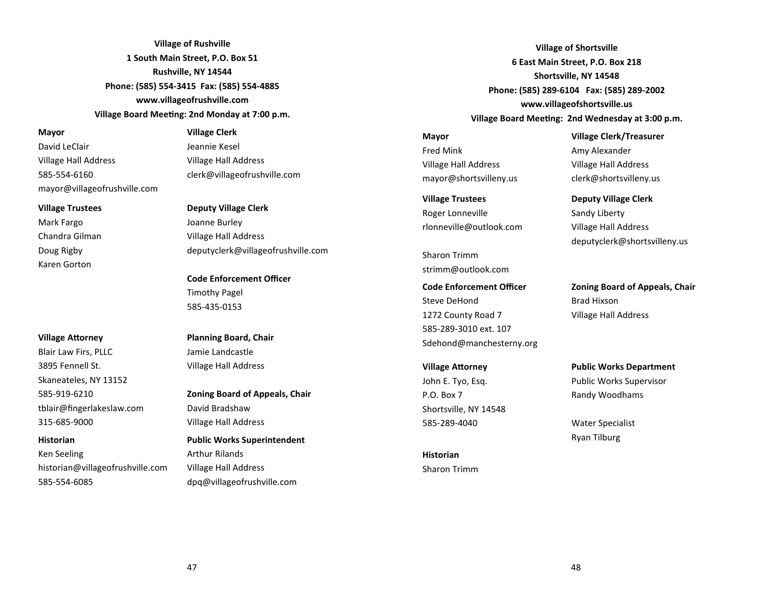**Village of Rushville 1 South Main Street, P.O. Box 51 Rushville, NY 14544 Phone: (585) 554-3415 Fax: (585) 554-4885 www.villageofrushville.com Village Board Meeting: 2nd Monday at 7:00 p.m.** 

#### **Mayor**

David LeClair Village Hall Address 585-554-6160 mayor@villageofrushville.com

#### **Village Trustees**

Mark Fargo Chandra Gilman Doug Rigby Karen Gorton

#### **Village Attorney**

Blair Law Firs, PLLC 3895 Fennell St. Skaneateles, NY 13152 585-919-6210 tblair@fingerlakeslaw.com 315-685-9000

**Historian** Ken Seeling historian@villageofrushville.com 585-554-6085

#### **Village Clerk**

Jeannie Kesel Village Hall Address clerk@villageofrushville.com

#### **Deputy Village Clerk**

Joanne Burley Village Hall Address deputyclerk@villageofrushville.com

**Code Enforcement Officer** Timothy Pagel 585-435-0153

# **Planning Board, Chair** Jamie Landcastle Village Hall Address

**Zoning Board of Appeals, Chair** David Bradshaw Village Hall Address

**Public Works Superintendent** Arthur Rilands Village Hall Address dpq@villageofrushville.com

**Village of Shortsville 6 East Main Street, P.O. Box 218 Shortsville, NY 14548 Phone: (585) 289-6104 Fax: (585) 289-2002 www.villageofshortsville.us** Village Board Meeting: 2nd Wednesday at 3:00 p.m.

**Mayor** Fred Mink Village Hall Address mayor@shortsvilleny.us

**Village Trustees** Roger Lonneville rlonneville@outlook.com

Sharon Trimm strimm@outlook.com

# **Code Enforcement Officer** Steve DeHond 1272 County Road 7 585-289-3010 ext. 107 Sdehond@manchesterny.org

**Village Attorney** John E. Tyo, Esq. P.O. Box 7 Shortsville, NY 14548 585-289-4040

**Historian** Sharon Trimm **Village Clerk/Treasurer**  Amy Alexander Village Hall Address clerk@shortsvilleny.us

**Deputy Village Clerk** Sandy Liberty Village Hall Address deputyclerk@shortsvilleny.us

**Zoning Board of Appeals, Chair** Brad Hixson Village Hall Address

**Public Works Department**  Public Works Supervisor Randy Woodhams

Water Specialist Ryan Tilburg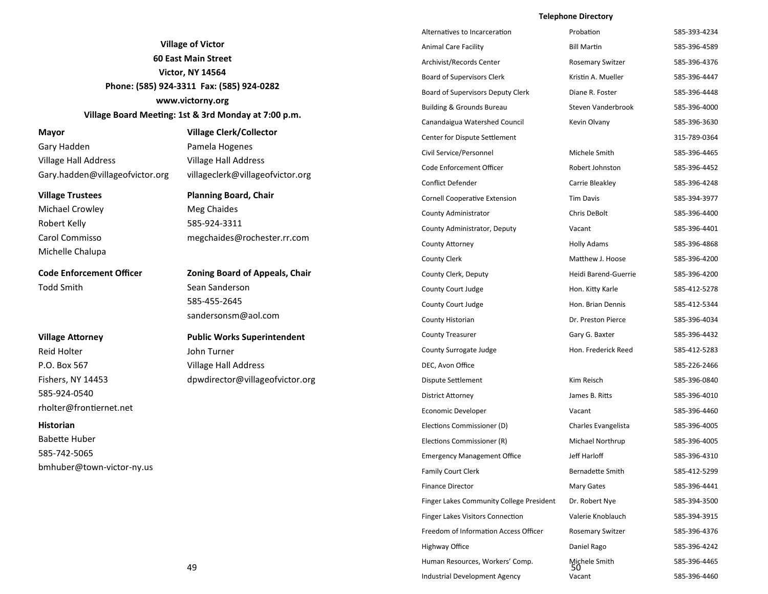# **Telephone Directory**

|                                                                                   |                                                      | Alternatives to Incarceration            | Probation               | 585-393-4234 |
|-----------------------------------------------------------------------------------|------------------------------------------------------|------------------------------------------|-------------------------|--------------|
| <b>Village of Victor</b><br><b>60 East Main Street</b><br><b>Victor, NY 14564</b> |                                                      | <b>Animal Care Facility</b>              | <b>Bill Martin</b>      | 585-396-4589 |
|                                                                                   |                                                      | Archivist/Records Center                 | <b>Rosemary Switzer</b> | 585-396-4376 |
|                                                                                   |                                                      | <b>Board of Supervisors Clerk</b>        | Kristin A. Mueller      | 585-396-4447 |
|                                                                                   | Phone: (585) 924-3311 Fax: (585) 924-0282            | Board of Supervisors Deputy Clerk        | Diane R. Foster         | 585-396-4448 |
|                                                                                   | www.victorny.org                                     | <b>Building &amp; Grounds Bureau</b>     | Steven Vanderbrook      | 585-396-4000 |
|                                                                                   | Village Board Meeting: 1st & 3rd Monday at 7:00 p.m. | Canandaigua Watershed Council            | Kevin Olvany            | 585-396-3630 |
| Mayor                                                                             | <b>Village Clerk/Collector</b>                       | Center for Dispute Settlement            |                         | 315-789-0364 |
| Gary Hadden                                                                       | Pamela Hogenes                                       | Civil Service/Personnel                  | Michele Smith           | 585-396-4465 |
| Village Hall Address                                                              | <b>Village Hall Address</b>                          | Code Enforcement Officer                 | Robert Johnston         | 585-396-4452 |
| Gary.hadden@villageofvictor.org                                                   | villageclerk@villageofvictor.org                     | <b>Conflict Defender</b>                 | Carrie Bleakley         | 585-396-4248 |
| <b>Village Trustees</b>                                                           | <b>Planning Board, Chair</b>                         | <b>Cornell Cooperative Extension</b>     | <b>Tim Davis</b>        | 585-394-3977 |
| <b>Michael Crowley</b>                                                            | Meg Chaides                                          | County Administrator                     | Chris DeBolt            | 585-396-4400 |
| Robert Kelly                                                                      | 585-924-3311                                         | County Administrator, Deputy             | Vacant                  | 585-396-4401 |
| Carol Commisso                                                                    | megchaides@rochester.rr.com                          | <b>County Attorney</b>                   | <b>Holly Adams</b>      | 585-396-4868 |
| Michelle Chalupa                                                                  |                                                      | <b>County Clerk</b>                      | Matthew J. Hoose        | 585-396-4200 |
| <b>Code Enforcement Officer</b>                                                   | <b>Zoning Board of Appeals, Chair</b>                | County Clerk, Deputy                     | Heidi Barend-Guerrie    | 585-396-4200 |
| <b>Todd Smith</b>                                                                 | Sean Sanderson                                       | County Court Judge                       | Hon. Kitty Karle        | 585-412-5278 |
|                                                                                   | 585-455-2645                                         | County Court Judge                       | Hon. Brian Dennis       | 585-412-5344 |
|                                                                                   | sandersonsm@aol.com                                  | County Historian                         | Dr. Preston Pierce      | 585-396-4034 |
| <b>Village Attorney</b>                                                           | <b>Public Works Superintendent</b>                   | <b>County Treasurer</b>                  | Gary G. Baxter          | 585-396-4432 |
| <b>Reid Holter</b>                                                                | John Turner                                          | County Surrogate Judge                   | Hon. Frederick Reed     | 585-412-5283 |
| P.O. Box 567                                                                      | Village Hall Address                                 | DEC, Avon Office                         |                         | 585-226-2466 |
| Fishers, NY 14453                                                                 | dpwdirector@villageofvictor.org                      | Dispute Settlement                       | Kim Reisch              | 585-396-0840 |
| 585-924-0540                                                                      |                                                      | <b>District Attorney</b>                 | James B. Ritts          | 585-396-4010 |
| rholter@frontiernet.net                                                           |                                                      | Economic Developer                       | Vacant                  | 585-396-4460 |
| <b>Historian</b>                                                                  |                                                      | Elections Commissioner (D)               | Charles Evangelista     | 585-396-4005 |
| <b>Babette Huber</b>                                                              |                                                      | Elections Commissioner (R)               | Michael Northrup        | 585-396-4005 |
| 585-742-5065                                                                      |                                                      | <b>Emergency Management Office</b>       | Jeff Harloff            | 585-396-4310 |
| bmhuber@town-victor-ny.us                                                         |                                                      | <b>Family Court Clerk</b>                | Bernadette Smith        | 585-412-5299 |
|                                                                                   |                                                      | <b>Finance Director</b>                  | Mary Gates              | 585-396-4441 |
|                                                                                   |                                                      | Finger Lakes Community College President | Dr. Robert Nye          | 585-394-3500 |
|                                                                                   |                                                      | <b>Finger Lakes Visitors Connection</b>  | Valerie Knoblauch       | 585-394-3915 |
|                                                                                   |                                                      | Freedom of Information Access Officer    | <b>Rosemary Switzer</b> | 585-396-4376 |
|                                                                                   |                                                      | Highway Office                           | Daniel Rago             | 585-396-4242 |
|                                                                                   | 49                                                   | Human Resources, Workers' Comp.          | Michele Smith<br>50     | 585-396-4465 |
|                                                                                   |                                                      | Industrial Development Agency            | Vacant                  | 585-396-4460 |